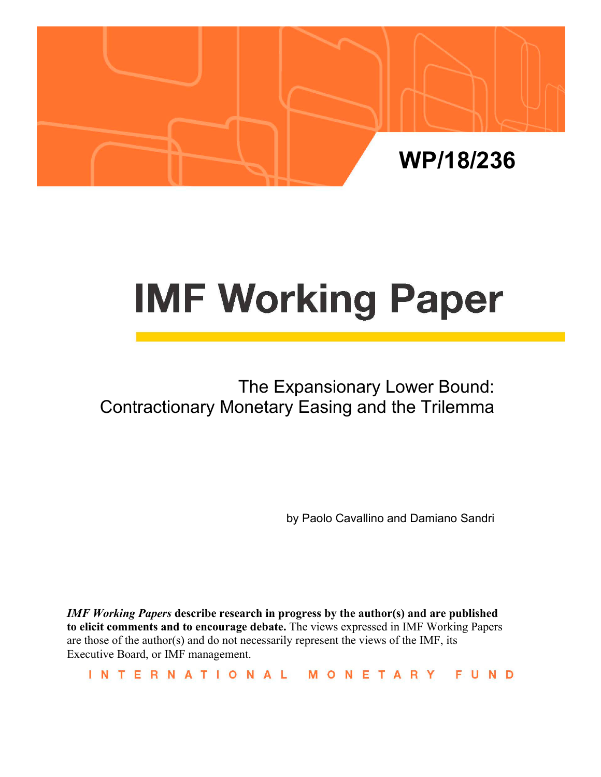

# **IMF Working Paper**

# The Expansionary Lower Bound: Contractionary Monetary Easing and the Trilemma

by Paolo Cavallino and Damiano Sandri

*IMF Working Papers* **describe research in progress by the author(s) and are published to elicit comments and to encourage debate.** The views expressed in IMF Working Papers are those of the author(s) and do not necessarily represent the views of the IMF, its Executive Board, or IMF management.

INTERNATIONAL MONETARY **FUND**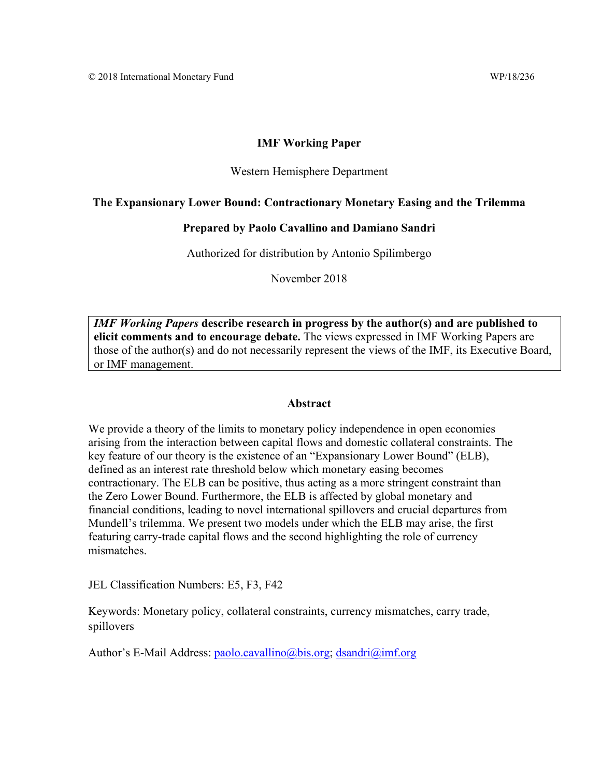#### **IMF Working Paper**

#### Western Hemisphere Department

#### **The Expansionary Lower Bound: Contractionary Monetary Easing and the Trilemma**

#### **Prepared by Paolo Cavallino and Damiano Sandri**

Authorized for distribution by Antonio Spilimbergo

November 2018

*IMF Working Papers* **describe research in progress by the author(s) and are published to elicit comments and to encourage debate.** The views expressed in IMF Working Papers are those of the author(s) and do not necessarily represent the views of the IMF, its Executive Board, or IMF management.

#### **Abstract**

We provide a theory of the limits to monetary policy independence in open economies arising from the interaction between capital flows and domestic collateral constraints. The key feature of our theory is the existence of an "Expansionary Lower Bound" (ELB), defined as an interest rate threshold below which monetary easing becomes contractionary. The ELB can be positive, thus acting as a more stringent constraint than the Zero Lower Bound. Furthermore, the ELB is affected by global monetary and financial conditions, leading to novel international spillovers and crucial departures from Mundell's trilemma. We present two models under which the ELB may arise, the first featuring carry-trade capital flows and the second highlighting the role of currency mismatches.

JEL Classification Numbers: E5, F3, F42

Keywords: Monetary policy, collateral constraints, currency mismatches, carry trade, spillovers

Author's E-Mail Address: paolo.cavallino@bis.org; dsandri@imf.org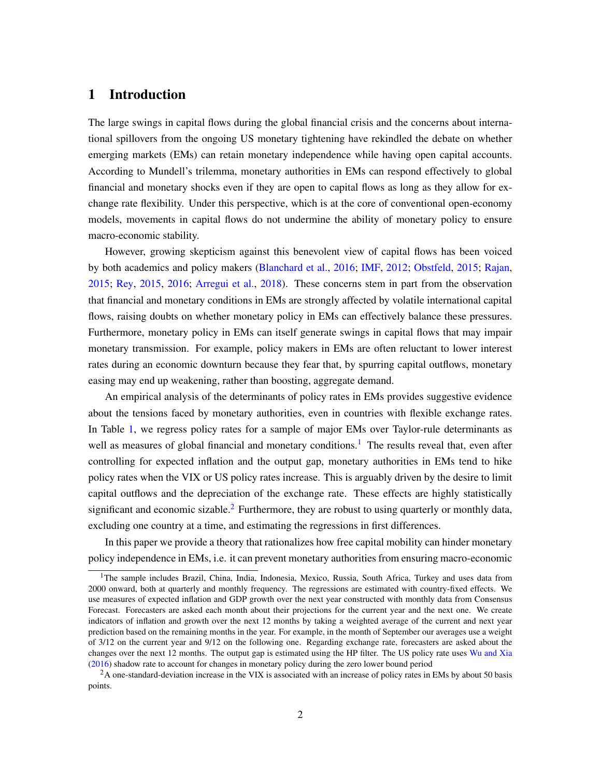## 1 Introduction

The large swings in capital flows during the global financial crisis and the concerns about international spillovers from the ongoing US monetary tightening have rekindled the debate on whether emerging markets (EMs) can retain monetary independence while having open capital accounts. According to Mundell's trilemma, monetary authorities in EMs can respond effectively to global financial and monetary shocks even if they are open to capital flows as long as they allow for exchange rate flexibility. Under this perspective, which is at the core of conventional open-economy models, movements in capital flows do not undermine the ability of monetary policy to ensure macro-economic stability.

However, growing skepticism against this benevolent view of capital flows has been voiced by both academics and policy makers [\(Blanchard et al.,](#page-31-0) [2016;](#page-31-0) [IMF,](#page-33-0) [2012;](#page-33-0) [Obstfeld,](#page-34-0) [2015;](#page-34-0) [Rajan,](#page-34-1) [2015;](#page-34-1) [Rey,](#page-34-2) [2015,](#page-34-2) [2016;](#page-34-3) [Arregui et al.,](#page-31-1) [2018\)](#page-31-1). These concerns stem in part from the observation that financial and monetary conditions in EMs are strongly affected by volatile international capital flows, raising doubts on whether monetary policy in EMs can effectively balance these pressures. Furthermore, monetary policy in EMs can itself generate swings in capital flows that may impair monetary transmission. For example, policy makers in EMs are often reluctant to lower interest rates during an economic downturn because they fear that, by spurring capital outflows, monetary easing may end up weakening, rather than boosting, aggregate demand.

An empirical analysis of the determinants of policy rates in EMs provides suggestive evidence about the tensions faced by monetary authorities, even in countries with flexible exchange rates. In Table [1,](#page-3-0) we regress policy rates for a sample of major EMs over Taylor-rule determinants as well as measures of global financial and monetary conditions.<sup>[1](#page-2-0)</sup> The results reveal that, even after controlling for expected inflation and the output gap, monetary authorities in EMs tend to hike policy rates when the VIX or US policy rates increase. This is arguably driven by the desire to limit capital outflows and the depreciation of the exchange rate. These effects are highly statistically significant and economic sizable.<sup>[2](#page-2-1)</sup> Furthermore, they are robust to using quarterly or monthly data, excluding one country at a time, and estimating the regressions in first differences.

In this paper we provide a theory that rationalizes how free capital mobility can hinder monetary policy independence in EMs, i.e. it can prevent monetary authorities from ensuring macro-economic

<span id="page-2-0"></span><sup>&</sup>lt;sup>1</sup>The sample includes Brazil, China, India, Indonesia, Mexico, Russia, South Africa, Turkey and uses data from 2000 onward, both at quarterly and monthly frequency. The regressions are estimated with country-fixed effects. We use measures of expected inflation and GDP growth over the next year constructed with monthly data from Consensus Forecast. Forecasters are asked each month about their projections for the current year and the next one. We create indicators of inflation and growth over the next 12 months by taking a weighted average of the current and next year prediction based on the remaining months in the year. For example, in the month of September our averages use a weight of 3/12 on the current year and 9/12 on the following one. Regarding exchange rate, forecasters are asked about the changes over the next 12 months. The output gap is estimated using the HP filter. The US policy rate uses [Wu and Xia](#page-34-4) [\(2016\)](#page-34-4) shadow rate to account for changes in monetary policy during the zero lower bound period

<span id="page-2-1"></span><sup>&</sup>lt;sup>2</sup>A one-standard-deviation increase in the VIX is associated with an increase of policy rates in EMs by about 50 basis points.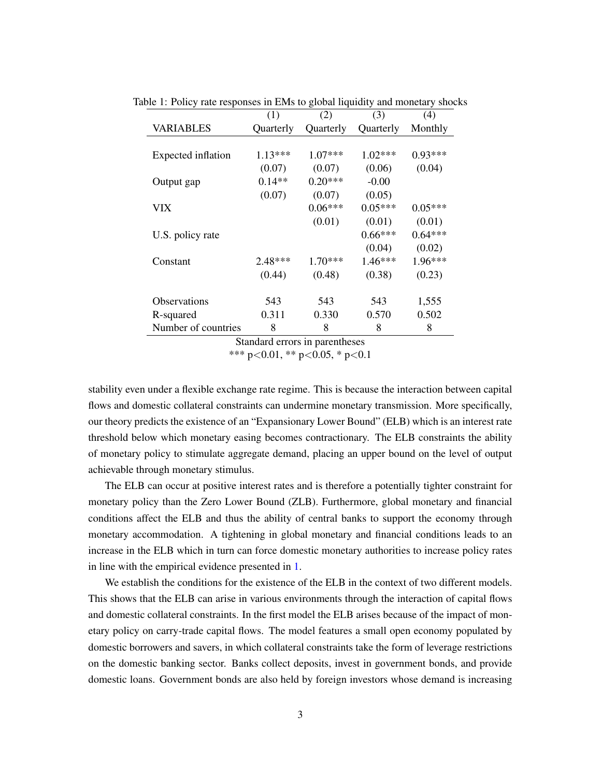<span id="page-3-0"></span>

|                     | (1)               | (2)         | (3)       | (4)       |
|---------------------|-------------------|-------------|-----------|-----------|
| <b>VARIABLES</b>    | Quarterly         | Quarterly   | Quarterly | Monthly   |
|                     |                   |             |           |           |
| Expected inflation  | $1.13***$         | $1.07***$   | $1.02***$ | $0.93***$ |
|                     | (0.07)            | (0.07)      | (0.06)    | (0.04)    |
| Output gap          | $0.14**$          | $0.20***$   | $-0.00$   |           |
|                     | (0.07)            | (0.07)      | (0.05)    |           |
| VIX                 |                   | $0.06***$   | $0.05***$ | $0.05***$ |
|                     |                   | (0.01)      | (0.01)    | (0.01)    |
| U.S. policy rate    |                   |             | $0.66***$ | $0.64***$ |
|                     |                   |             | (0.04)    | (0.02)    |
| Constant            | $2.48***$         | $1.70***$   | 1.46***   | $1.96***$ |
|                     | (0.44)            | (0.48)      | (0.38)    | (0.23)    |
| <b>Observations</b> | 543               | 543         | 543       | 1,555     |
| R-squared           | 0.311             | 0.330       | 0.570     | 0.502     |
| Number of countries | 8<br>$\mathbf{r}$ | 8<br>$\sim$ | 8         | 8         |

Table 1: Policy rate responses in EMs to global liquidity and monetary shocks

Standard errors in parentheses

\*\*\* p<0.01, \*\* p<0.05, \* p<0.1

stability even under a flexible exchange rate regime. This is because the interaction between capital flows and domestic collateral constraints can undermine monetary transmission. More specifically, our theory predicts the existence of an "Expansionary Lower Bound" (ELB) which is an interest rate threshold below which monetary easing becomes contractionary. The ELB constraints the ability of monetary policy to stimulate aggregate demand, placing an upper bound on the level of output achievable through monetary stimulus.

The ELB can occur at positive interest rates and is therefore a potentially tighter constraint for monetary policy than the Zero Lower Bound (ZLB). Furthermore, global monetary and financial conditions affect the ELB and thus the ability of central banks to support the economy through monetary accommodation. A tightening in global monetary and financial conditions leads to an increase in the ELB which in turn can force domestic monetary authorities to increase policy rates in line with the empirical evidence presented in [1.](#page-3-0)

We establish the conditions for the existence of the ELB in the context of two different models. This shows that the ELB can arise in various environments through the interaction of capital flows and domestic collateral constraints. In the first model the ELB arises because of the impact of monetary policy on carry-trade capital flows. The model features a small open economy populated by domestic borrowers and savers, in which collateral constraints take the form of leverage restrictions on the domestic banking sector. Banks collect deposits, invest in government bonds, and provide domestic loans. Government bonds are also held by foreign investors whose demand is increasing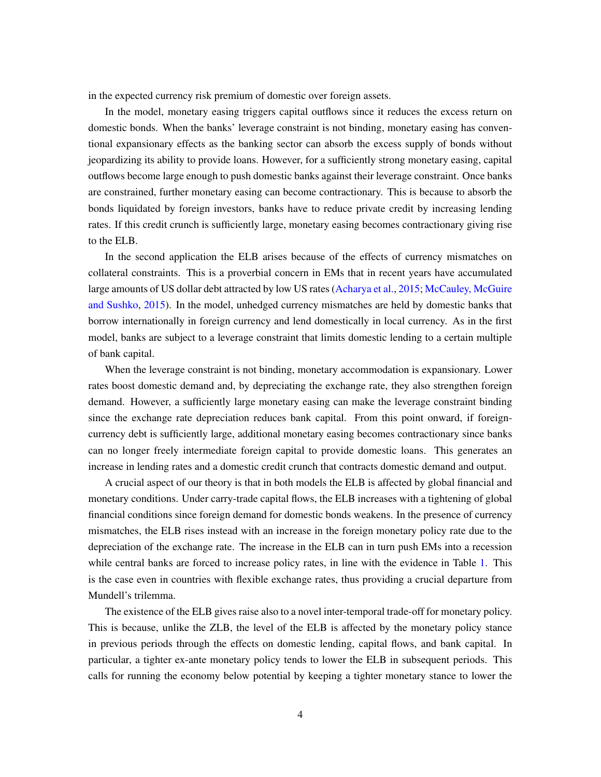in the expected currency risk premium of domestic over foreign assets.

In the model, monetary easing triggers capital outflows since it reduces the excess return on domestic bonds. When the banks' leverage constraint is not binding, monetary easing has conventional expansionary effects as the banking sector can absorb the excess supply of bonds without jeopardizing its ability to provide loans. However, for a sufficiently strong monetary easing, capital outflows become large enough to push domestic banks against their leverage constraint. Once banks are constrained, further monetary easing can become contractionary. This is because to absorb the bonds liquidated by foreign investors, banks have to reduce private credit by increasing lending rates. If this credit crunch is sufficiently large, monetary easing becomes contractionary giving rise to the ELB.

In the second application the ELB arises because of the effects of currency mismatches on collateral constraints. This is a proverbial concern in EMs that in recent years have accumulated large amounts of US dollar debt attracted by low US rates [\(Acharya et al.,](#page-31-2) [2015;](#page-31-2) [McCauley, McGuire](#page-33-1) [and Sushko,](#page-33-1) [2015\)](#page-33-1). In the model, unhedged currency mismatches are held by domestic banks that borrow internationally in foreign currency and lend domestically in local currency. As in the first model, banks are subject to a leverage constraint that limits domestic lending to a certain multiple of bank capital.

When the leverage constraint is not binding, monetary accommodation is expansionary. Lower rates boost domestic demand and, by depreciating the exchange rate, they also strengthen foreign demand. However, a sufficiently large monetary easing can make the leverage constraint binding since the exchange rate depreciation reduces bank capital. From this point onward, if foreigncurrency debt is sufficiently large, additional monetary easing becomes contractionary since banks can no longer freely intermediate foreign capital to provide domestic loans. This generates an increase in lending rates and a domestic credit crunch that contracts domestic demand and output.

A crucial aspect of our theory is that in both models the ELB is affected by global financial and monetary conditions. Under carry-trade capital flows, the ELB increases with a tightening of global financial conditions since foreign demand for domestic bonds weakens. In the presence of currency mismatches, the ELB rises instead with an increase in the foreign monetary policy rate due to the depreciation of the exchange rate. The increase in the ELB can in turn push EMs into a recession while central banks are forced to increase policy rates, in line with the evidence in Table [1.](#page-3-0) This is the case even in countries with flexible exchange rates, thus providing a crucial departure from Mundell's trilemma.

The existence of the ELB gives raise also to a novel inter-temporal trade-off for monetary policy. This is because, unlike the ZLB, the level of the ELB is affected by the monetary policy stance in previous periods through the effects on domestic lending, capital flows, and bank capital. In particular, a tighter ex-ante monetary policy tends to lower the ELB in subsequent periods. This calls for running the economy below potential by keeping a tighter monetary stance to lower the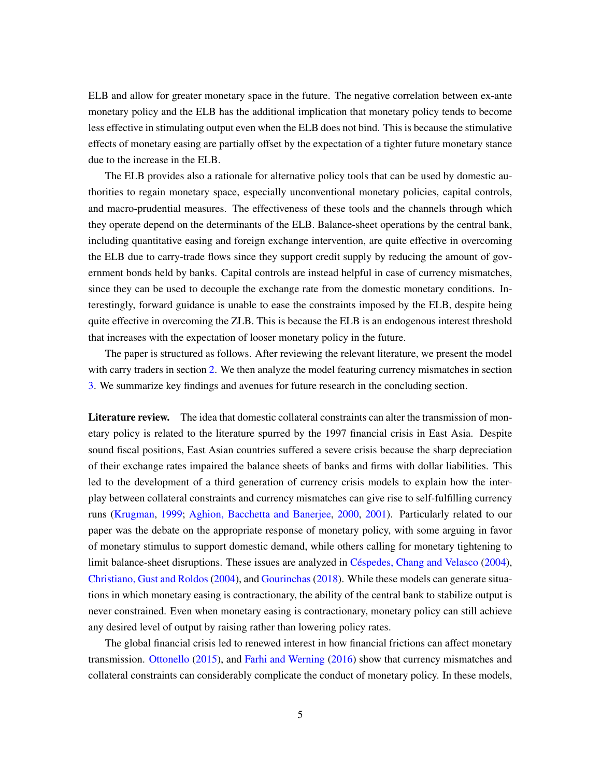ELB and allow for greater monetary space in the future. The negative correlation between ex-ante monetary policy and the ELB has the additional implication that monetary policy tends to become less effective in stimulating output even when the ELB does not bind. This is because the stimulative effects of monetary easing are partially offset by the expectation of a tighter future monetary stance due to the increase in the ELB.

The ELB provides also a rationale for alternative policy tools that can be used by domestic authorities to regain monetary space, especially unconventional monetary policies, capital controls, and macro-prudential measures. The effectiveness of these tools and the channels through which they operate depend on the determinants of the ELB. Balance-sheet operations by the central bank, including quantitative easing and foreign exchange intervention, are quite effective in overcoming the ELB due to carry-trade flows since they support credit supply by reducing the amount of government bonds held by banks. Capital controls are instead helpful in case of currency mismatches, since they can be used to decouple the exchange rate from the domestic monetary conditions. Interestingly, forward guidance is unable to ease the constraints imposed by the ELB, despite being quite effective in overcoming the ZLB. This is because the ELB is an endogenous interest threshold that increases with the expectation of looser monetary policy in the future.

The paper is structured as follows. After reviewing the relevant literature, we present the model with carry traders in section [2.](#page-7-0) We then analyze the model featuring currency mismatches in section [3.](#page-23-0) We summarize key findings and avenues for future research in the concluding section.

Literature review. The idea that domestic collateral constraints can alter the transmission of monetary policy is related to the literature spurred by the 1997 financial crisis in East Asia. Despite sound fiscal positions, East Asian countries suffered a severe crisis because the sharp depreciation of their exchange rates impaired the balance sheets of banks and firms with dollar liabilities. This led to the development of a third generation of currency crisis models to explain how the interplay between collateral constraints and currency mismatches can give rise to self-fulfilling currency runs [\(Krugman,](#page-33-2) [1999;](#page-33-2) [Aghion, Bacchetta and Banerjee,](#page-31-3) [2000,](#page-31-3) [2001\)](#page-31-4). Particularly related to our paper was the debate on the appropriate response of monetary policy, with some arguing in favor of monetary stimulus to support domestic demand, while others calling for monetary tightening to limit balance-sheet disruptions. These issues are analyzed in [Céspedes, Chang and Velasco](#page-32-0) [\(2004\)](#page-32-0), [Christiano, Gust and Roldos](#page-32-1) [\(2004\)](#page-32-1), and [Gourinchas](#page-33-3) [\(2018\)](#page-33-3). While these models can generate situations in which monetary easing is contractionary, the ability of the central bank to stabilize output is never constrained. Even when monetary easing is contractionary, monetary policy can still achieve any desired level of output by raising rather than lowering policy rates.

The global financial crisis led to renewed interest in how financial frictions can affect monetary transmission. [Ottonello](#page-34-5) [\(2015\)](#page-34-5), and [Farhi and Werning](#page-32-2) [\(2016\)](#page-32-2) show that currency mismatches and collateral constraints can considerably complicate the conduct of monetary policy. In these models,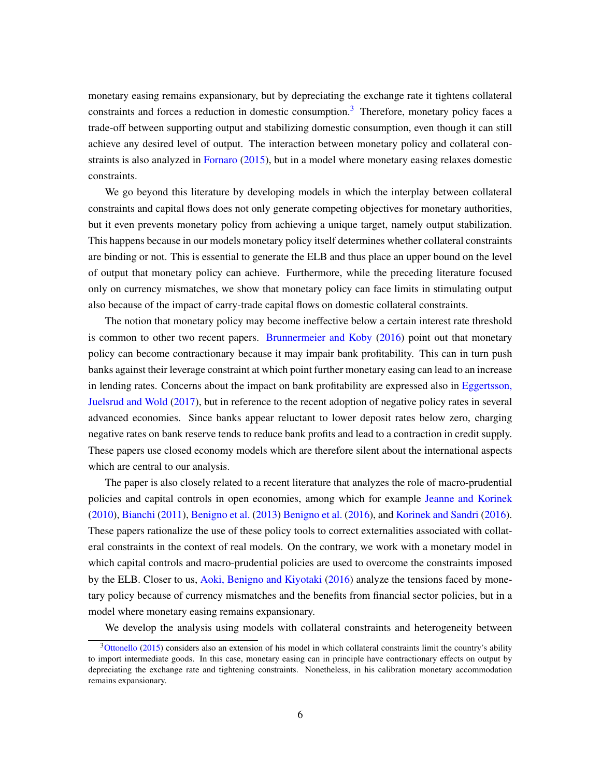monetary easing remains expansionary, but by depreciating the exchange rate it tightens collateral constraints and forces a reduction in domestic consumption.<sup>[3](#page-6-0)</sup> Therefore, monetary policy faces a trade-off between supporting output and stabilizing domestic consumption, even though it can still achieve any desired level of output. The interaction between monetary policy and collateral con-straints is also analyzed in [Fornaro](#page-32-3) [\(2015\)](#page-32-3), but in a model where monetary easing relaxes domestic constraints.

We go beyond this literature by developing models in which the interplay between collateral constraints and capital flows does not only generate competing objectives for monetary authorities, but it even prevents monetary policy from achieving a unique target, namely output stabilization. This happens because in our models monetary policy itself determines whether collateral constraints are binding or not. This is essential to generate the ELB and thus place an upper bound on the level of output that monetary policy can achieve. Furthermore, while the preceding literature focused only on currency mismatches, we show that monetary policy can face limits in stimulating output also because of the impact of carry-trade capital flows on domestic collateral constraints.

The notion that monetary policy may become ineffective below a certain interest rate threshold is common to other two recent papers. [Brunnermeier and Koby](#page-31-5) [\(2016\)](#page-31-5) point out that monetary policy can become contractionary because it may impair bank profitability. This can in turn push banks against their leverage constraint at which point further monetary easing can lead to an increase in lending rates. Concerns about the impact on bank profitability are expressed also in [Eggertsson,](#page-32-4) [Juelsrud and Wold](#page-32-4) [\(2017\)](#page-32-4), but in reference to the recent adoption of negative policy rates in several advanced economies. Since banks appear reluctant to lower deposit rates below zero, charging negative rates on bank reserve tends to reduce bank profits and lead to a contraction in credit supply. These papers use closed economy models which are therefore silent about the international aspects which are central to our analysis.

The paper is also closely related to a recent literature that analyzes the role of macro-prudential policies and capital controls in open economies, among which for example [Jeanne and Korinek](#page-33-4) [\(2010\)](#page-33-4), [Bianchi](#page-31-6) [\(2011\)](#page-31-6), [Benigno et al.](#page-31-7) [\(2013\)](#page-31-7) [Benigno et al.](#page-31-8) [\(2016\)](#page-31-8), and [Korinek and Sandri](#page-33-5) [\(2016\)](#page-33-5). These papers rationalize the use of these policy tools to correct externalities associated with collateral constraints in the context of real models. On the contrary, we work with a monetary model in which capital controls and macro-prudential policies are used to overcome the constraints imposed by the ELB. Closer to us, [Aoki, Benigno and Kiyotaki](#page-31-9) [\(2016\)](#page-31-9) analyze the tensions faced by monetary policy because of currency mismatches and the benefits from financial sector policies, but in a model where monetary easing remains expansionary.

We develop the analysis using models with collateral constraints and heterogeneity between

<span id="page-6-0"></span> $3$ [Ottonello](#page-34-5) [\(2015\)](#page-34-5) considers also an extension of his model in which collateral constraints limit the country's ability to import intermediate goods. In this case, monetary easing can in principle have contractionary effects on output by depreciating the exchange rate and tightening constraints. Nonetheless, in his calibration monetary accommodation remains expansionary.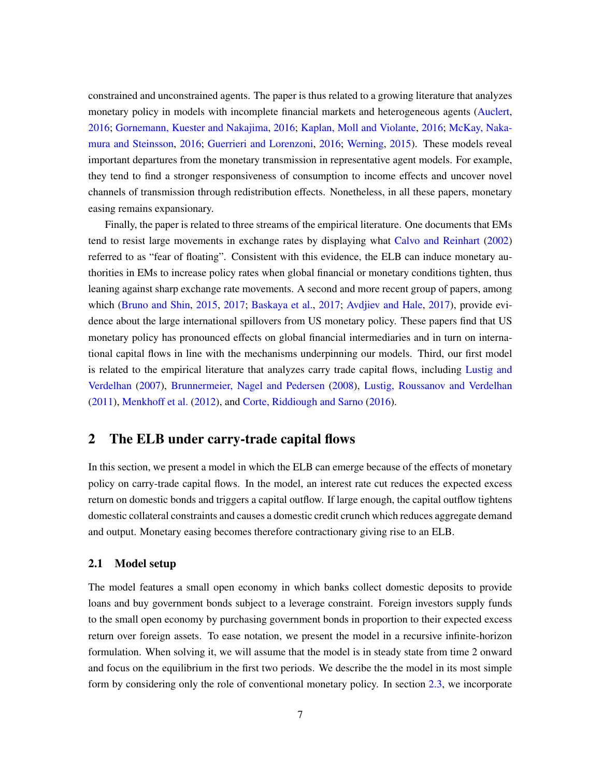constrained and unconstrained agents. The paper is thus related to a growing literature that analyzes monetary policy in models with incomplete financial markets and heterogeneous agents [\(Auclert,](#page-31-10) [2016;](#page-31-10) [Gornemann, Kuester and Nakajima,](#page-33-6) [2016;](#page-33-6) [Kaplan, Moll and Violante,](#page-33-7) [2016;](#page-33-7) [McKay, Naka](#page-34-6)[mura and Steinsson,](#page-34-6) [2016;](#page-34-6) [Guerrieri and Lorenzoni,](#page-33-8) [2016;](#page-33-8) [Werning,](#page-34-7) [2015\)](#page-34-7). These models reveal important departures from the monetary transmission in representative agent models. For example, they tend to find a stronger responsiveness of consumption to income effects and uncover novel channels of transmission through redistribution effects. Nonetheless, in all these papers, monetary easing remains expansionary.

Finally, the paper is related to three streams of the empirical literature. One documents that EMs tend to resist large movements in exchange rates by displaying what [Calvo and Reinhart](#page-32-5) [\(2002\)](#page-32-5) referred to as "fear of floating". Consistent with this evidence, the ELB can induce monetary authorities in EMs to increase policy rates when global financial or monetary conditions tighten, thus leaning against sharp exchange rate movements. A second and more recent group of papers, among which [\(Bruno and Shin,](#page-32-6) [2015,](#page-32-6) [2017;](#page-32-7) [Baskaya et al.,](#page-31-11) [2017;](#page-31-11) [Avdjiev and Hale,](#page-31-12) [2017\)](#page-31-12), provide evidence about the large international spillovers from US monetary policy. These papers find that US monetary policy has pronounced effects on global financial intermediaries and in turn on international capital flows in line with the mechanisms underpinning our models. Third, our first model is related to the empirical literature that analyzes carry trade capital flows, including [Lustig and](#page-33-9) [Verdelhan](#page-33-9) [\(2007\)](#page-33-9), [Brunnermeier, Nagel and Pedersen](#page-32-8) [\(2008\)](#page-32-8), [Lustig, Roussanov and Verdelhan](#page-33-10) [\(2011\)](#page-33-10), [Menkhoff et al.](#page-34-8) [\(2012\)](#page-34-8), and [Corte, Riddiough and Sarno](#page-32-9) [\(2016\)](#page-32-9).

## <span id="page-7-0"></span>2 The ELB under carry-trade capital flows

In this section, we present a model in which the ELB can emerge because of the effects of monetary policy on carry-trade capital flows. In the model, an interest rate cut reduces the expected excess return on domestic bonds and triggers a capital outflow. If large enough, the capital outflow tightens domestic collateral constraints and causes a domestic credit crunch which reduces aggregate demand and output. Monetary easing becomes therefore contractionary giving rise to an ELB.

#### 2.1 Model setup

The model features a small open economy in which banks collect domestic deposits to provide loans and buy government bonds subject to a leverage constraint. Foreign investors supply funds to the small open economy by purchasing government bonds in proportion to their expected excess return over foreign assets. To ease notation, we present the model in a recursive infinite-horizon formulation. When solving it, we will assume that the model is in steady state from time 2 onward and focus on the equilibrium in the first two periods. We describe the the model in its most simple form by considering only the role of conventional monetary policy. In section [2.3,](#page-21-0) we incorporate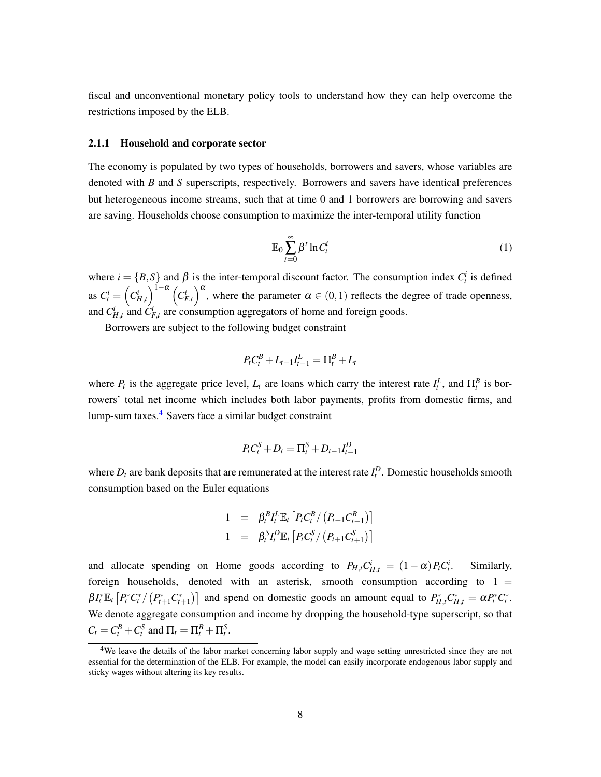fiscal and unconventional monetary policy tools to understand how they can help overcome the restrictions imposed by the ELB.

#### 2.1.1 Household and corporate sector

The economy is populated by two types of households, borrowers and savers, whose variables are denoted with *B* and *S* superscripts, respectively. Borrowers and savers have identical preferences but heterogeneous income streams, such that at time 0 and 1 borrowers are borrowing and savers are saving. Households choose consumption to maximize the inter-temporal utility function

$$
\mathbb{E}_0 \sum_{t=0}^{\infty} \beta^t \ln C_t^i \tag{1}
$$

where  $i = \{B, S\}$  and  $\beta$  is the inter-temporal discount factor. The consumption index  $C_t^i$  is defined as  $C_t^i = \left(C_{H,t}^i\right)^{1-\alpha} \left(C_{F,t}^i\right)^{\alpha}$ , where the parameter  $\alpha \in (0,1)$  reflects the degree of trade openness, and  $C_{H,t}^i$  and  $C_{F,t}^i$  are consumption aggregators of home and foreign goods.

Borrowers are subject to the following budget constraint

$$
P_{t}C_{t}^{B}+L_{t-1}I_{t-1}^{L}=\Pi_{t}^{B}+L_{t}
$$

where  $P_t$  is the aggregate price level,  $L_t$  are loans which carry the interest rate  $I_t^L$ , and  $\Pi_t^B$  is borrowers' total net income which includes both labor payments, profits from domestic firms, and lump-sum taxes. $4$  Savers face a similar budget constraint

$$
P_t C_t^S + D_t = \Pi_t^S + D_{t-1} I_{t-1}^D
$$

where  $D_t$  are bank deposits that are remunerated at the interest rate  $I_t^D$ . Domestic households smooth consumption based on the Euler equations

$$
1 = \beta_t^B I_t^L \mathbb{E}_t [P_t C_t^B / (P_{t+1} C_{t+1}^B)]
$$
  

$$
1 = \beta_t^S I_t^D \mathbb{E}_t [P_t C_t^S / (P_{t+1} C_{t+1}^S)]
$$

and allocate spending on Home goods according to  $P_{H,t}C_{H,t}^{i} = (1 - \alpha)P_{t}C_{t}^{i}$ . Similarly, foreign households, denoted with an asterisk, smooth consumption according to  $1 =$  $\beta I_t^* \mathbb{E}_t [P_t^* C_t^* / (P_{t+1}^* C_{t+1}^*)]$  and spend on domestic goods an amount equal to  $P_{H,t}^* C_{H,t}^* = \alpha P_t^* C_t^*$ . We denote aggregate consumption and income by dropping the household-type superscript, so that  $C_t = C_t^B + C_t^S$  and  $\Pi_t = \Pi_t^B + \Pi_t^S$ .

<span id="page-8-0"></span><sup>&</sup>lt;sup>4</sup>We leave the details of the labor market concerning labor supply and wage setting unrestricted since they are not essential for the determination of the ELB. For example, the model can easily incorporate endogenous labor supply and sticky wages without altering its key results.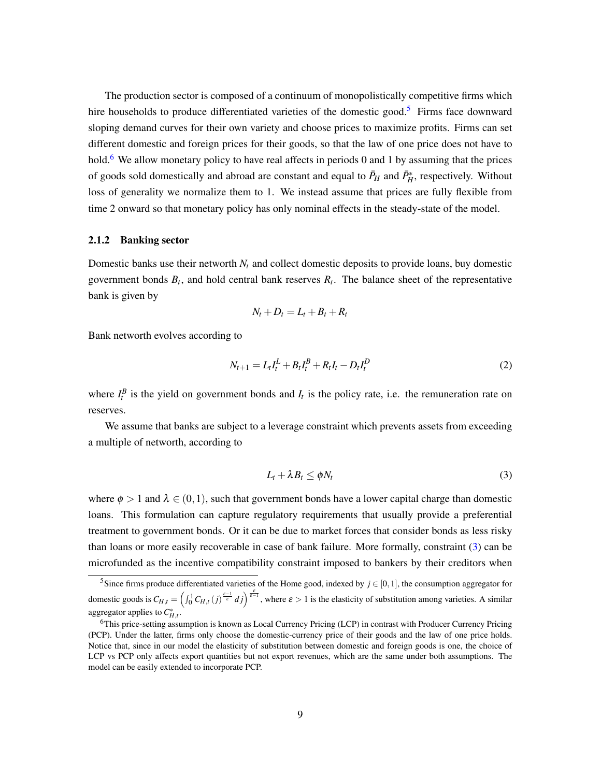The production sector is composed of a continuum of monopolistically competitive firms which hire households to produce differentiated varieties of the domestic good.<sup>[5](#page-9-0)</sup> Firms face downward sloping demand curves for their own variety and choose prices to maximize profits. Firms can set different domestic and foreign prices for their goods, so that the law of one price does not have to hold.<sup>[6](#page-9-1)</sup> We allow monetary policy to have real affects in periods 0 and 1 by assuming that the prices of goods sold domestically and abroad are constant and equal to  $\bar{P}_H$  and  $\bar{P}_H^*$ , respectively. Without loss of generality we normalize them to 1. We instead assume that prices are fully flexible from time 2 onward so that monetary policy has only nominal effects in the steady-state of the model.

#### 2.1.2 Banking sector

Domestic banks use their networth  $N_t$  and collect domestic deposits to provide loans, buy domestic government bonds  $B_t$ , and hold central bank reserves  $R_t$ . The balance sheet of the representative bank is given by

$$
N_t + D_t = L_t + B_t + R_t
$$

Bank networth evolves according to

$$
N_{t+1} = L_t I_t^L + B_t I_t^B + R_t I_t - D_t I_t^D
$$
\n(2)

where  $I_t^B$  is the yield on government bonds and  $I_t$  is the policy rate, i.e. the remuneration rate on reserves.

We assume that banks are subject to a leverage constraint which prevents assets from exceeding a multiple of networth, according to

<span id="page-9-2"></span>
$$
L_t + \lambda B_t \le \phi N_t \tag{3}
$$

where  $\phi > 1$  and  $\lambda \in (0,1)$ , such that government bonds have a lower capital charge than domestic loans. This formulation can capture regulatory requirements that usually provide a preferential treatment to government bonds. Or it can be due to market forces that consider bonds as less risky than loans or more easily recoverable in case of bank failure. More formally, constraint [\(3\)](#page-9-2) can be microfunded as the incentive compatibility constraint imposed to bankers by their creditors when

<span id="page-9-0"></span><sup>&</sup>lt;sup>5</sup>Since firms produce differentiated varieties of the Home good, indexed by  $j \in [0,1]$ , the consumption aggregator for domestic goods is  $C_{H,t} = \left(\int_0^1 C_{H,t}(j)^{\frac{\varepsilon-1}{\varepsilon}} dj\right)^{\frac{\varepsilon}{\varepsilon-1}}$ , where  $\varepsilon > 1$  is the elasticity of substitution among varieties. A similar aggregator applies to  $C_{H,t}^*$ .

<span id="page-9-1"></span><sup>6</sup>This price-setting assumption is known as Local Currency Pricing (LCP) in contrast with Producer Currency Pricing (PCP). Under the latter, firms only choose the domestic-currency price of their goods and the law of one price holds. Notice that, since in our model the elasticity of substitution between domestic and foreign goods is one, the choice of LCP vs PCP only affects export quantities but not export revenues, which are the same under both assumptions. The model can be easily extended to incorporate PCP.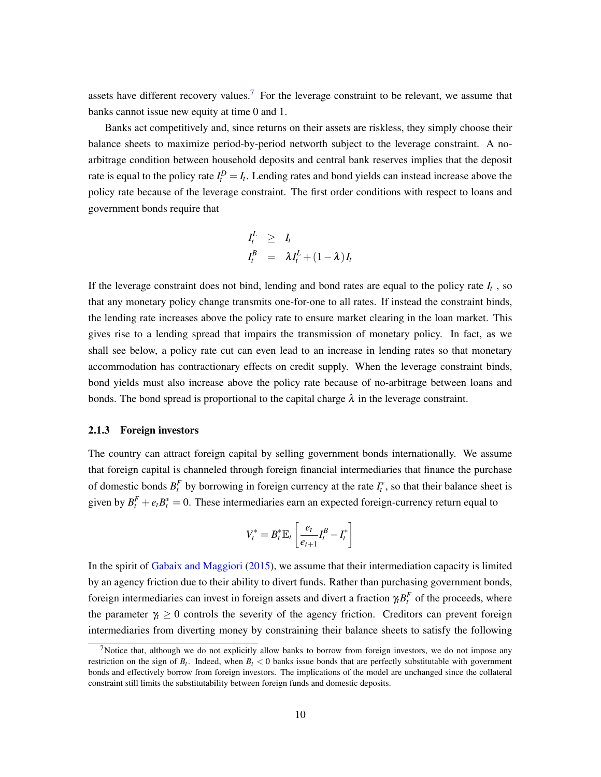assets have different recovery values.<sup>[7](#page-10-0)</sup> For the leverage constraint to be relevant, we assume that banks cannot issue new equity at time 0 and 1.

Banks act competitively and, since returns on their assets are riskless, they simply choose their balance sheets to maximize period-by-period networth subject to the leverage constraint. A noarbitrage condition between household deposits and central bank reserves implies that the deposit rate is equal to the policy rate  $I_t^D = I_t$ . Lending rates and bond yields can instead increase above the policy rate because of the leverage constraint. The first order conditions with respect to loans and government bonds require that

$$
I_t^L \geq I_t
$$
  

$$
I_t^B = \lambda I_t^L + (1 - \lambda) I_t
$$

If the leverage constraint does not bind, lending and bond rates are equal to the policy rate *I<sup>t</sup>* , so that any monetary policy change transmits one-for-one to all rates. If instead the constraint binds, the lending rate increases above the policy rate to ensure market clearing in the loan market. This gives rise to a lending spread that impairs the transmission of monetary policy. In fact, as we shall see below, a policy rate cut can even lead to an increase in lending rates so that monetary accommodation has contractionary effects on credit supply. When the leverage constraint binds, bond yields must also increase above the policy rate because of no-arbitrage between loans and bonds. The bond spread is proportional to the capital charge  $\lambda$  in the leverage constraint.

#### 2.1.3 Foreign investors

The country can attract foreign capital by selling government bonds internationally. We assume that foreign capital is channeled through foreign financial intermediaries that finance the purchase of domestic bonds  $B_t^F$  by borrowing in foreign currency at the rate  $I_t^*$ , so that their balance sheet is given by  $B_t^F + e_t B_t^* = 0$ . These intermediaries earn an expected foreign-currency return equal to

$$
V_t^* = B_t^* \mathbb{E}_t \left[ \frac{e_t}{e_{t+1}} I_t^B - I_t^* \right]
$$

In the spirit of [Gabaix and Maggiori](#page-32-10) [\(2015\)](#page-32-10), we assume that their intermediation capacity is limited by an agency friction due to their ability to divert funds. Rather than purchasing government bonds, foreign intermediaries can invest in foreign assets and divert a fraction  $\gamma_t B_t^F$  of the proceeds, where the parameter  $\gamma_t \geq 0$  controls the severity of the agency friction. Creditors can prevent foreign intermediaries from diverting money by constraining their balance sheets to satisfy the following

<span id="page-10-0"></span><sup>&</sup>lt;sup>7</sup>Notice that, although we do not explicitly allow banks to borrow from foreign investors, we do not impose any restriction on the sign of  $B_t$ . Indeed, when  $B_t < 0$  banks issue bonds that are perfectly substitutable with government bonds and effectively borrow from foreign investors. The implications of the model are unchanged since the collateral constraint still limits the substitutability between foreign funds and domestic deposits.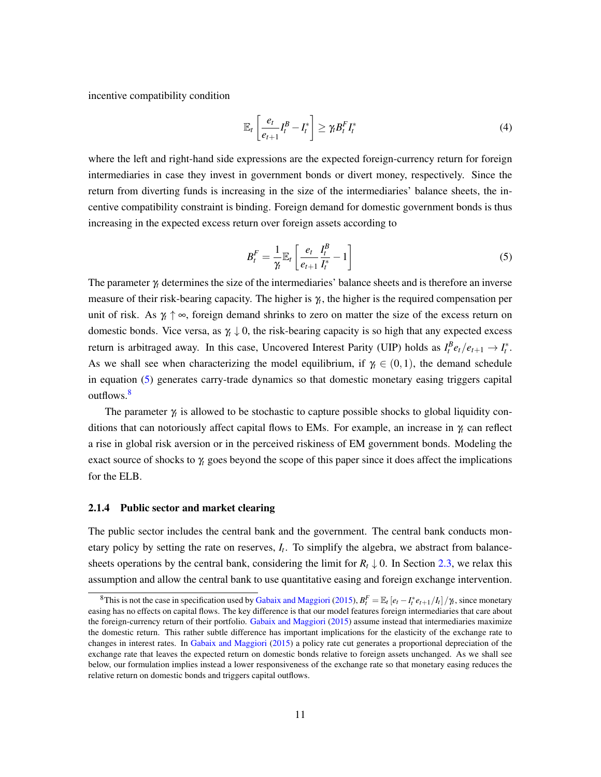incentive compatibility condition

$$
\mathbb{E}_{t}\left[\frac{e_{t}}{e_{t+1}}I_{t}^{B}-I_{t}^{*}\right] \geq \gamma_{t}B_{t}^{F}I_{t}^{*}
$$
\n
$$
(4)
$$

where the left and right-hand side expressions are the expected foreign-currency return for foreign intermediaries in case they invest in government bonds or divert money, respectively. Since the return from diverting funds is increasing in the size of the intermediaries' balance sheets, the incentive compatibility constraint is binding. Foreign demand for domestic government bonds is thus increasing in the expected excess return over foreign assets according to

<span id="page-11-0"></span>
$$
B_t^F = \frac{1}{\gamma} \mathbb{E}_t \left[ \frac{e_t}{e_{t+1}} \frac{I_t^B}{I_t^*} - 1 \right]
$$
 (5)

The parameter γ*<sup>t</sup>* determines the size of the intermediaries' balance sheets and is therefore an inverse measure of their risk-bearing capacity. The higher is γ*<sup>t</sup>* , the higher is the required compensation per unit of risk. As  $\gamma$   $\uparrow \infty$ , foreign demand shrinks to zero on matter the size of the excess return on domestic bonds. Vice versa, as  $\gamma \downarrow 0$ , the risk-bearing capacity is so high that any expected excess return is arbitraged away. In this case, Uncovered Interest Parity (UIP) holds as  $I_t^B e_t/e_{t+1} \to I_t^*$ . As we shall see when characterizing the model equilibrium, if  $\gamma_t \in (0,1)$ , the demand schedule in equation [\(5\)](#page-11-0) generates carry-trade dynamics so that domestic monetary easing triggers capital outflows.<sup>[8](#page-11-1)</sup>

The parameter γ*<sup>t</sup>* is allowed to be stochastic to capture possible shocks to global liquidity conditions that can notoriously affect capital flows to EMs. For example, an increase in γ*<sup>t</sup>* can reflect a rise in global risk aversion or in the perceived riskiness of EM government bonds. Modeling the exact source of shocks to γ*<sup>t</sup>* goes beyond the scope of this paper since it does affect the implications for the ELB.

#### 2.1.4 Public sector and market clearing

The public sector includes the central bank and the government. The central bank conducts monetary policy by setting the rate on reserves, *I<sup>t</sup>* . To simplify the algebra, we abstract from balancesheets operations by the central bank, considering the limit for  $R_t \downarrow 0$ . In Section [2.3,](#page-21-0) we relax this assumption and allow the central bank to use quantitative easing and foreign exchange intervention.

<span id="page-11-1"></span><sup>&</sup>lt;sup>8</sup>This is not the case in specification used by [Gabaix and Maggiori](#page-32-10) [\(2015\)](#page-32-10),  $B_t^F = \mathbb{E}_t [e_t - I_t^* e_{t+1}/I_t]/\gamma_t$ , since monetary easing has no effects on capital flows. The key difference is that our model features foreign intermediaries that care about the foreign-currency return of their portfolio. [Gabaix and Maggiori](#page-32-10) [\(2015\)](#page-32-10) assume instead that intermediaries maximize the domestic return. This rather subtle difference has important implications for the elasticity of the exchange rate to changes in interest rates. In [Gabaix and Maggiori](#page-32-10) [\(2015\)](#page-32-10) a policy rate cut generates a proportional depreciation of the exchange rate that leaves the expected return on domestic bonds relative to foreign assets unchanged. As we shall see below, our formulation implies instead a lower responsiveness of the exchange rate so that monetary easing reduces the relative return on domestic bonds and triggers capital outflows.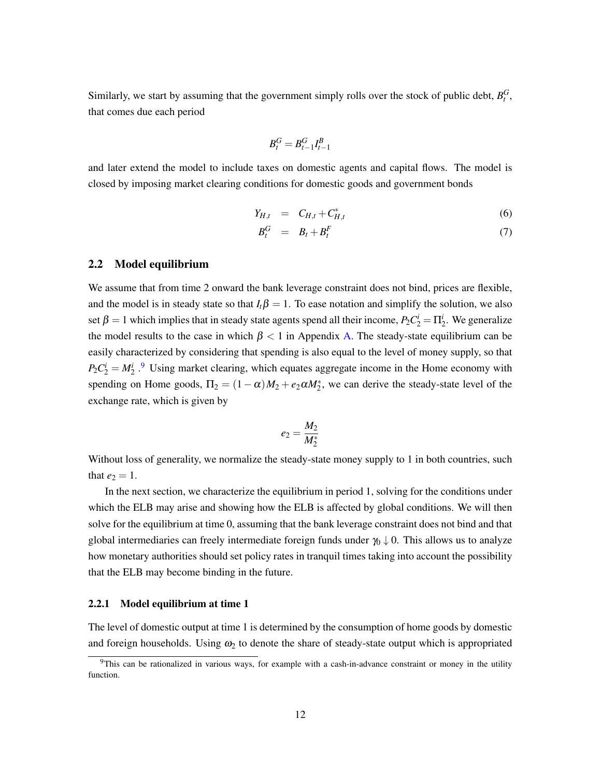Similarly, we start by assuming that the government simply rolls over the stock of public debt,  $B_t^G$ , that comes due each period

$$
B_t^G=B_{t-1}^G I_{t-1}^B
$$

and later extend the model to include taxes on domestic agents and capital flows. The model is closed by imposing market clearing conditions for domestic goods and government bonds

<span id="page-12-1"></span>
$$
Y_{H,t} = C_{H,t} + C_{H,t}^* \tag{6}
$$

$$
B_t^G = B_t + B_t^F \tag{7}
$$

#### 2.2 Model equilibrium

We assume that from time 2 onward the bank leverage constraint does not bind, prices are flexible, and the model is in steady state so that  $I_t\beta = 1$ . To ease notation and simplify the solution, we also set  $\beta = 1$  which implies that in steady state agents spend all their income,  $P_2 C_2^i = \Pi_2^i$ . We generalize the model results to the case in which  $\beta$  < 1 in Appendix [A.](#page-35-0) The steady-state equilibrium can be easily characterized by considering that spending is also equal to the level of money supply, so that  $P_2C_2^i = M_2^i$ . Using market clearing, which equates aggregate income in the Home economy with spending on Home goods,  $\Pi_2 = (1 - \alpha)M_2 + e_2\alpha M_2^*$ , we can derive the steady-state level of the exchange rate, which is given by

$$
e_2=\frac{M_2}{M_2^*}
$$

Without loss of generality, we normalize the steady-state money supply to 1 in both countries, such that  $e_2 = 1$ .

In the next section, we characterize the equilibrium in period 1, solving for the conditions under which the ELB may arise and showing how the ELB is affected by global conditions. We will then solve for the equilibrium at time 0, assuming that the bank leverage constraint does not bind and that global intermediaries can freely intermediate foreign funds under  $\gamma_0 \downarrow 0$ . This allows us to analyze how monetary authorities should set policy rates in tranquil times taking into account the possibility that the ELB may become binding in the future.

#### 2.2.1 Model equilibrium at time 1

The level of domestic output at time 1 is determined by the consumption of home goods by domestic and foreign households. Using  $\omega_2$  to denote the share of steady-state output which is appropriated

<span id="page-12-0"></span> $9$ This can be rationalized in various ways, for example with a cash-in-advance constraint or money in the utility function.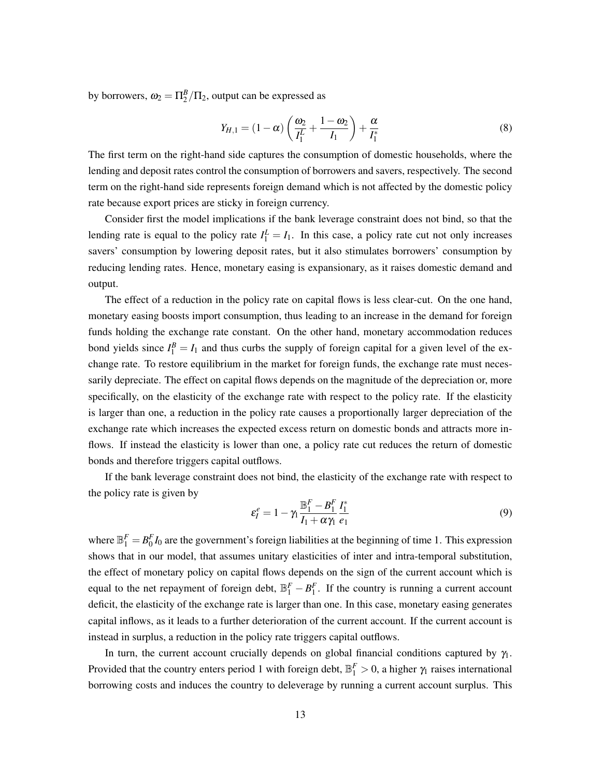by borrowers,  $\omega_2 = \Pi_2^B / \Pi_2$ , output can be expressed as

<span id="page-13-0"></span>
$$
Y_{H,1} = (1 - \alpha) \left( \frac{\omega_2}{I_1^L} + \frac{1 - \omega_2}{I_1} \right) + \frac{\alpha}{I_1^*}
$$
 (8)

The first term on the right-hand side captures the consumption of domestic households, where the lending and deposit rates control the consumption of borrowers and savers, respectively. The second term on the right-hand side represents foreign demand which is not affected by the domestic policy rate because export prices are sticky in foreign currency.

Consider first the model implications if the bank leverage constraint does not bind, so that the lending rate is equal to the policy rate  $I_1^L = I_1$ . In this case, a policy rate cut not only increases savers' consumption by lowering deposit rates, but it also stimulates borrowers' consumption by reducing lending rates. Hence, monetary easing is expansionary, as it raises domestic demand and output.

The effect of a reduction in the policy rate on capital flows is less clear-cut. On the one hand, monetary easing boosts import consumption, thus leading to an increase in the demand for foreign funds holding the exchange rate constant. On the other hand, monetary accommodation reduces bond yields since  $I_1^B = I_1$  and thus curbs the supply of foreign capital for a given level of the exchange rate. To restore equilibrium in the market for foreign funds, the exchange rate must necessarily depreciate. The effect on capital flows depends on the magnitude of the depreciation or, more specifically, on the elasticity of the exchange rate with respect to the policy rate. If the elasticity is larger than one, a reduction in the policy rate causes a proportionally larger depreciation of the exchange rate which increases the expected excess return on domestic bonds and attracts more inflows. If instead the elasticity is lower than one, a policy rate cut reduces the return of domestic bonds and therefore triggers capital outflows.

If the bank leverage constraint does not bind, the elasticity of the exchange rate with respect to the policy rate is given by

$$
\varepsilon_I^e = 1 - \gamma_1 \frac{\mathbb{B}_1^F - B_1^F}{I_1 + \alpha \gamma_1} \frac{I_1^*}{e_1} \tag{9}
$$

where  $\mathbb{B}_1^F = B_0^F I_0$  are the government's foreign liabilities at the beginning of time 1. This expression shows that in our model, that assumes unitary elasticities of inter and intra-temporal substitution, the effect of monetary policy on capital flows depends on the sign of the current account which is equal to the net repayment of foreign debt,  $\mathbb{B}_1^F - B_1^F$ . If the country is running a current account deficit, the elasticity of the exchange rate is larger than one. In this case, monetary easing generates capital inflows, as it leads to a further deterioration of the current account. If the current account is instead in surplus, a reduction in the policy rate triggers capital outflows.

In turn, the current account crucially depends on global financial conditions captured by  $\gamma_1$ . Provided that the country enters period 1 with foreign debt,  $\mathbb{B}_1^F > 0$ , a higher  $\gamma_1$  raises international borrowing costs and induces the country to deleverage by running a current account surplus. This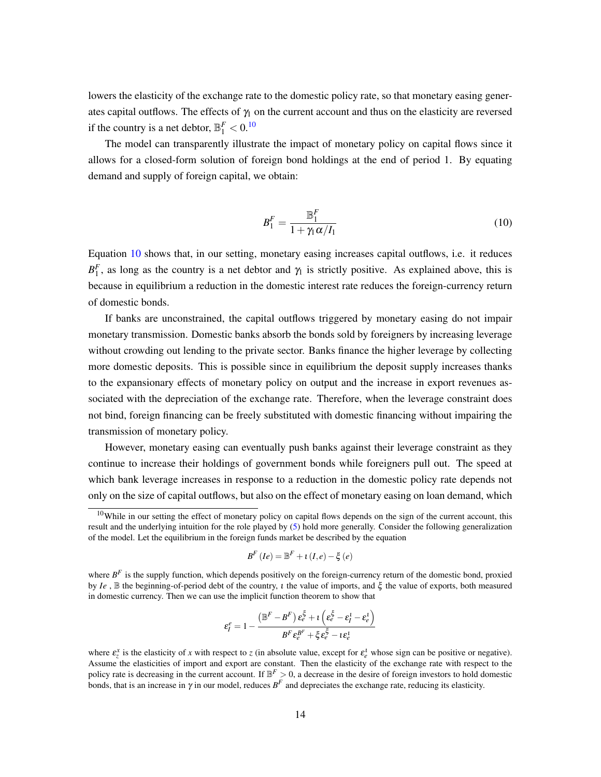lowers the elasticity of the exchange rate to the domestic policy rate, so that monetary easing generates capital outflows. The effects of  $\gamma_1$  on the current account and thus on the elasticity are reversed if the country is a net debtor,  $\mathbb{B}^F_1 < 0$ .<sup>[10](#page-14-0)</sup>

The model can transparently illustrate the impact of monetary policy on capital flows since it allows for a closed-form solution of foreign bond holdings at the end of period 1. By equating demand and supply of foreign capital, we obtain:

<span id="page-14-1"></span>
$$
B_1^F = \frac{\mathbb{B}_1^F}{1 + \gamma_1 \alpha / I_1} \tag{10}
$$

Equation [10](#page-14-1) shows that, in our setting, monetary easing increases capital outflows, i.e. it reduces  $B_1^F$ , as long as the country is a net debtor and  $\gamma_1$  is strictly positive. As explained above, this is because in equilibrium a reduction in the domestic interest rate reduces the foreign-currency return of domestic bonds.

If banks are unconstrained, the capital outflows triggered by monetary easing do not impair monetary transmission. Domestic banks absorb the bonds sold by foreigners by increasing leverage without crowding out lending to the private sector. Banks finance the higher leverage by collecting more domestic deposits. This is possible since in equilibrium the deposit supply increases thanks to the expansionary effects of monetary policy on output and the increase in export revenues associated with the depreciation of the exchange rate. Therefore, when the leverage constraint does not bind, foreign financing can be freely substituted with domestic financing without impairing the transmission of monetary policy.

However, monetary easing can eventually push banks against their leverage constraint as they continue to increase their holdings of government bonds while foreigners pull out. The speed at which bank leverage increases in response to a reduction in the domestic policy rate depends not only on the size of capital outflows, but also on the effect of monetary easing on loan demand, which

$$
B^{F}(Ie) = \mathbb{B}^{F} + \iota(I,e) - \xi(e)
$$

$$
\varepsilon_{I}^{e} = 1 - \frac{\left(\mathbb{B}^{F} - B^{F}\right)\varepsilon_{e}^{\xi} + i\left(\varepsilon_{e}^{\xi} - \varepsilon_{I}^{1} - \varepsilon_{e}^{1}\right)}{B^{F}\varepsilon_{e}^{B^{F}} + \xi\varepsilon_{e}^{\xi} - i\varepsilon_{e}^{1}}
$$

<span id="page-14-0"></span> $10$ While in our setting the effect of monetary policy on capital flows depends on the sign of the current account, this result and the underlying intuition for the role played by [\(5\)](#page-11-0) hold more generally. Consider the following generalization of the model. Let the equilibrium in the foreign funds market be described by the equation

where  $B^F$  is the supply function, which depends positively on the foreign-currency return of the domestic bond, proxied by *Ie* , B the beginning-of-period debt of the country, ι the value of imports, and ξ the value of exports, both measured in domestic currency. Then we can use the implicit function theorem to show that

where  $\varepsilon_z^x$  is the elasticity of *x* with respect to *z* (in absolute value, except for  $\varepsilon_e^1$  whose sign can be positive or negative). Assume the elasticities of import and export are constant. Then the elasticity of the exchange rate with respect to the policy rate is decreasing in the current account. If  $\mathbb{B}^F > 0$ , a decrease in the desire of foreign investors to hold domestic bonds, that is an increase in  $\gamma$  in our model, reduces  $B^F$  and depreciates the exchange rate, reducing its elasticity.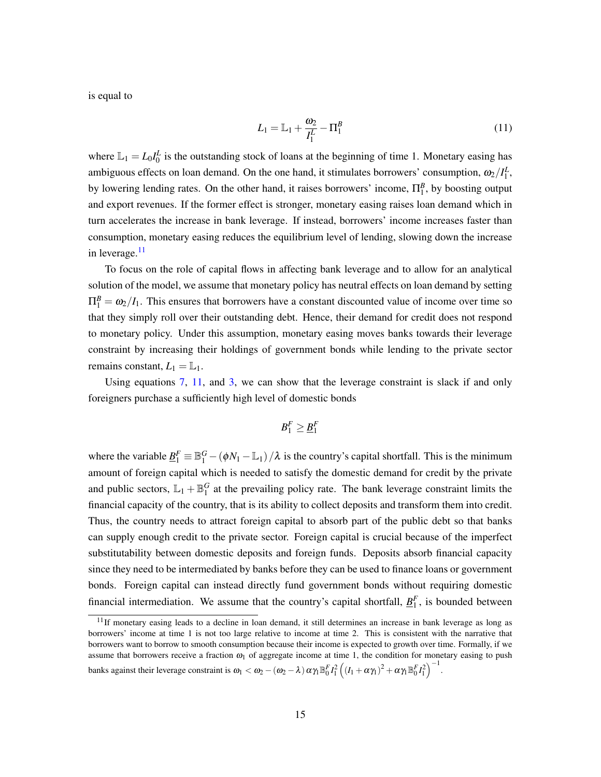is equal to

<span id="page-15-1"></span>
$$
L_1 = \mathbb{L}_1 + \frac{\omega_2}{I_1^L} - \Pi_1^B
$$
\n(11)

where  $\mathbb{L}_1 = L_0 I_0^L$  is the outstanding stock of loans at the beginning of time 1. Monetary easing has ambiguous effects on loan demand. On the one hand, it stimulates borrowers' consumption,  $\omega_2/I_1^L$ , by lowering lending rates. On the other hand, it raises borrowers' income,  $\Pi_1^B$ , by boosting output and export revenues. If the former effect is stronger, monetary easing raises loan demand which in turn accelerates the increase in bank leverage. If instead, borrowers' income increases faster than consumption, monetary easing reduces the equilibrium level of lending, slowing down the increase in leverage. $11$ 

To focus on the role of capital flows in affecting bank leverage and to allow for an analytical solution of the model, we assume that monetary policy has neutral effects on loan demand by setting  $\Pi_1^B = \omega_2/I_1$ . This ensures that borrowers have a constant discounted value of income over time so that they simply roll over their outstanding debt. Hence, their demand for credit does not respond to monetary policy. Under this assumption, monetary easing moves banks towards their leverage constraint by increasing their holdings of government bonds while lending to the private sector remains constant,  $L_1 = \mathbb{L}_1$ .

Using equations [7,](#page-12-1) [11,](#page-15-1) and [3,](#page-9-2) we can show that the leverage constraint is slack if and only foreigners purchase a sufficiently high level of domestic bonds

$$
B_1^F \geq \underline{B}_1^F
$$

where the variable  $\underline{B}_1^F \equiv \mathbb{B}_1^G - (\phi N_1 - \mathbb{L}_1)/\lambda$  is the country's capital shortfall. This is the minimum amount of foreign capital which is needed to satisfy the domestic demand for credit by the private and public sectors,  $\mathbb{L}_1 + \mathbb{B}_1^G$  at the prevailing policy rate. The bank leverage constraint limits the financial capacity of the country, that is its ability to collect deposits and transform them into credit. Thus, the country needs to attract foreign capital to absorb part of the public debt so that banks can supply enough credit to the private sector. Foreign capital is crucial because of the imperfect substitutability between domestic deposits and foreign funds. Deposits absorb financial capacity since they need to be intermediated by banks before they can be used to finance loans or government bonds. Foreign capital can instead directly fund government bonds without requiring domestic financial intermediation. We assume that the country's capital shortfall,  $\underline{B}_1^F$ , is bounded between

banks against their leverage constraint is  $\omega_1 < \omega_2 - (\omega_2 - \lambda) \alpha \gamma_1 \mathbb{B}_0^F I_1^2 \left( (I_1 + \alpha \gamma_1)^2 + \alpha \gamma_1 \mathbb{B}_0^F I_1^2 \right)^{-1}$ .

<span id="page-15-0"></span> $11$ If monetary easing leads to a decline in loan demand, it still determines an increase in bank leverage as long as borrowers' income at time 1 is not too large relative to income at time 2. This is consistent with the narrative that borrowers want to borrow to smooth consumption because their income is expected to growth over time. Formally, if we assume that borrowers receive a fraction  $\omega_1$  of aggregate income at time 1, the condition for monetary easing to push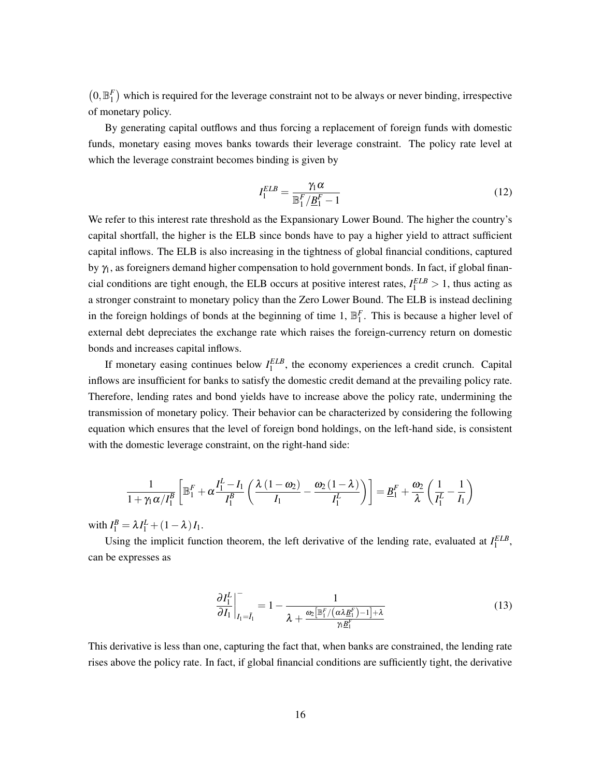$(0, \mathbb{B}_1^F)$  which is required for the leverage constraint not to be always or never binding, irrespective of monetary policy.

By generating capital outflows and thus forcing a replacement of foreign funds with domestic funds, monetary easing moves banks towards their leverage constraint. The policy rate level at which the leverage constraint becomes binding is given by

<span id="page-16-0"></span>
$$
I_1^{ELB} = \frac{\gamma_1 \alpha}{\mathbb{B}_1^F / \underline{B}_1^F - 1} \tag{12}
$$

We refer to this interest rate threshold as the Expansionary Lower Bound. The higher the country's capital shortfall, the higher is the ELB since bonds have to pay a higher yield to attract sufficient capital inflows. The ELB is also increasing in the tightness of global financial conditions, captured by  $\gamma_1$ , as foreigners demand higher compensation to hold government bonds. In fact, if global financial conditions are tight enough, the ELB occurs at positive interest rates,  $I_1^{ELB} > 1$ , thus acting as a stronger constraint to monetary policy than the Zero Lower Bound. The ELB is instead declining in the foreign holdings of bonds at the beginning of time 1,  $\mathbb{B}_1^F$ . This is because a higher level of external debt depreciates the exchange rate which raises the foreign-currency return on domestic bonds and increases capital inflows.

If monetary easing continues below  $I_1^{ELB}$ , the economy experiences a credit crunch. Capital inflows are insufficient for banks to satisfy the domestic credit demand at the prevailing policy rate. Therefore, lending rates and bond yields have to increase above the policy rate, undermining the transmission of monetary policy. Their behavior can be characterized by considering the following equation which ensures that the level of foreign bond holdings, on the left-hand side, is consistent with the domestic leverage constraint, on the right-hand side:

$$
\frac{1}{1+\gamma_1\alpha/I_1^B}\left[\mathbb{B}_1^F + \alpha\frac{I_1^L - I_1}{I_1^B}\left(\frac{\lambda(1-\omega_2)}{I_1} - \frac{\omega_2(1-\lambda)}{I_1^L}\right)\right] = \underline{B}_1^F + \frac{\omega_2}{\lambda}\left(\frac{1}{I_1^L} - \frac{1}{I_1}\right)
$$

with  $I_1^B = \lambda I_1^L + (1 - \lambda) I_1$ .

Using the implicit function theorem, the left derivative of the lending rate, evaluated at  $I_1^{ELB}$ , can be expresses as

$$
\left. \frac{\partial I_1^L}{\partial I_1} \right|_{I_1 = \bar{I}_1}^{\bar{I}_1} = 1 - \frac{1}{\lambda + \frac{\omega_2 \left[ \mathbb{B}_1^F / (\alpha \lambda \underline{B}_1^F) - 1 \right] + \lambda}{\gamma_1 \underline{B}_1^F}}
$$
(13)

This derivative is less than one, capturing the fact that, when banks are constrained, the lending rate rises above the policy rate. In fact, if global financial conditions are sufficiently tight, the derivative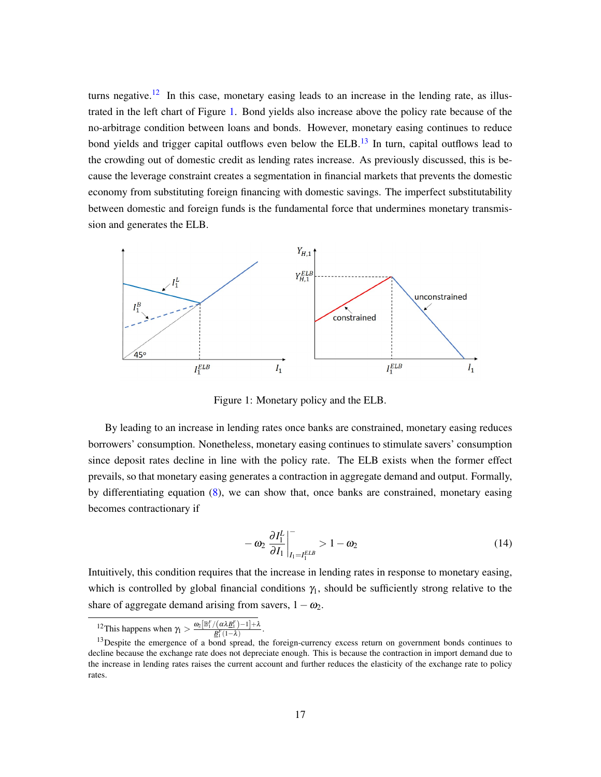turns negative.<sup>[12](#page-17-0)</sup> In this case, monetary easing leads to an increase in the lending rate, as illustrated in the left chart of Figure [1.](#page-17-1) Bond yields also increase above the policy rate because of the no-arbitrage condition between loans and bonds. However, monetary easing continues to reduce bond yields and trigger capital outflows even below the  $ELB$ .<sup>[13](#page-17-2)</sup> In turn, capital outflows lead to the crowding out of domestic credit as lending rates increase. As previously discussed, this is because the leverage constraint creates a segmentation in financial markets that prevents the domestic economy from substituting foreign financing with domestic savings. The imperfect substitutability between domestic and foreign funds is the fundamental force that undermines monetary transmission and generates the ELB.



<span id="page-17-1"></span>Figure 1: Monetary policy and the ELB.

By leading to an increase in lending rates once banks are constrained, monetary easing reduces borrowers' consumption. Nonetheless, monetary easing continues to stimulate savers' consumption since deposit rates decline in line with the policy rate. The ELB exists when the former effect prevails, so that monetary easing generates a contraction in aggregate demand and output. Formally, by differentiating equation [\(8\)](#page-13-0), we can show that, once banks are constrained, monetary easing becomes contractionary if

<span id="page-17-3"></span>
$$
-\omega_2 \left. \frac{\partial I_1^L}{\partial I_1} \right|_{I_1 = I_1^{ELB}}^{\top} > 1 - \omega_2 \tag{14}
$$

Intuitively, this condition requires that the increase in lending rates in response to monetary easing, which is controlled by global financial conditions  $\gamma_1$ , should be sufficiently strong relative to the share of aggregate demand arising from savers,  $1-\omega_2$ .

<span id="page-17-0"></span>
$$
^{12}\text{This happens when }\gamma_1>\frac{\omega_2[\mathbb{B}_1^F/(\alpha\lambda\underline{B}_1^F)-1]+\lambda}{B_1^F(1-\lambda)}
$$

.

<span id="page-17-2"></span><sup>&</sup>lt;sup>13</sup>Despite the emergence of a bond spread, the foreign-currency excess return on government bonds continues to <sup>13</sup>Despite the emergence of a bond spread, the foreign-currency excess return on government bonds continues decline because the exchange rate does not depreciate enough. This is because the contraction in import demand due to the increase in lending rates raises the current account and further reduces the elasticity of the exchange rate to policy rates.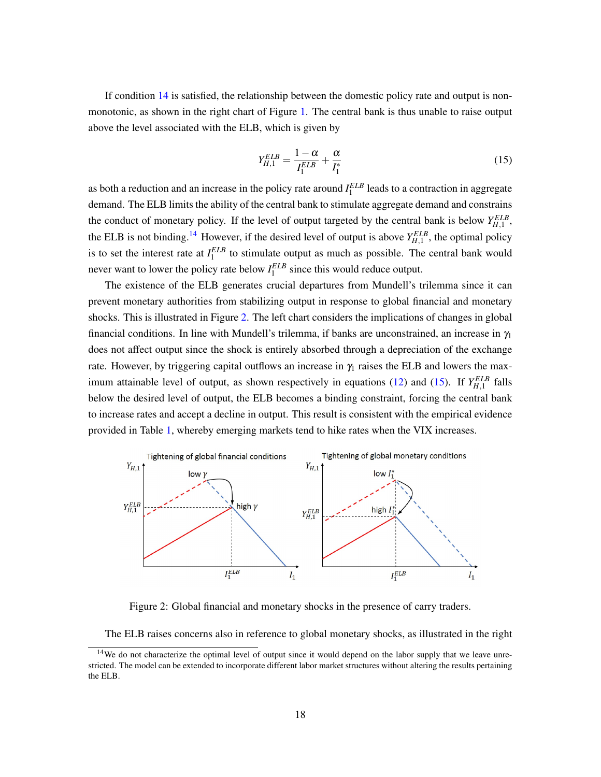If condition [14](#page-17-3) is satisfied, the relationship between the domestic policy rate and output is nonmonotonic, as shown in the right chart of Figure [1.](#page-17-1) The central bank is thus unable to raise output above the level associated with the ELB, which is given by

<span id="page-18-2"></span>
$$
Y_{H,1}^{ELB} = \frac{1-\alpha}{I_1^{ELB}} + \frac{\alpha}{I_1^*}
$$
\n
$$
(15)
$$

as both a reduction and an increase in the policy rate around *I ELB* 1 leads to a contraction in aggregate demand. The ELB limits the ability of the central bank to stimulate aggregate demand and constrains the conduct of monetary policy. If the level of output targeted by the central bank is below  $Y_{H,1}^{ELB}$ , the ELB is not binding.<sup>[14](#page-18-0)</sup> However, if the desired level of output is above  $Y_{H,1}^{ELB}$ , the optimal policy is to set the interest rate at  $I_1^{ELB}$  to stimulate output as much as possible. The central bank would never want to lower the policy rate below  $I_1^{ELB}$  since this would reduce output.

The existence of the ELB generates crucial departures from Mundell's trilemma since it can prevent monetary authorities from stabilizing output in response to global financial and monetary shocks. This is illustrated in Figure [2.](#page-18-1) The left chart considers the implications of changes in global financial conditions. In line with Mundell's trilemma, if banks are unconstrained, an increase in  $\gamma_1$ does not affect output since the shock is entirely absorbed through a depreciation of the exchange rate. However, by triggering capital outflows an increase in  $\gamma_1$  raises the ELB and lowers the max-imum attainable level of output, as shown respectively in equations [\(12\)](#page-16-0) and [\(15\)](#page-18-2). If  $Y_{H,1}^{ELB}$  falls below the desired level of output, the ELB becomes a binding constraint, forcing the central bank to increase rates and accept a decline in output. This result is consistent with the empirical evidence provided in Table [1,](#page-3-0) whereby emerging markets tend to hike rates when the VIX increases.



<span id="page-18-1"></span>Figure 2: Global financial and monetary shocks in the presence of carry traders.

The ELB raises concerns also in reference to global monetary shocks, as illustrated in the right

<span id="page-18-0"></span><sup>&</sup>lt;sup>14</sup>We do not characterize the optimal level of output since it would depend on the labor supply that we leave unrestricted. The model can be extended to incorporate different labor market structures without altering the results pertaining the ELB.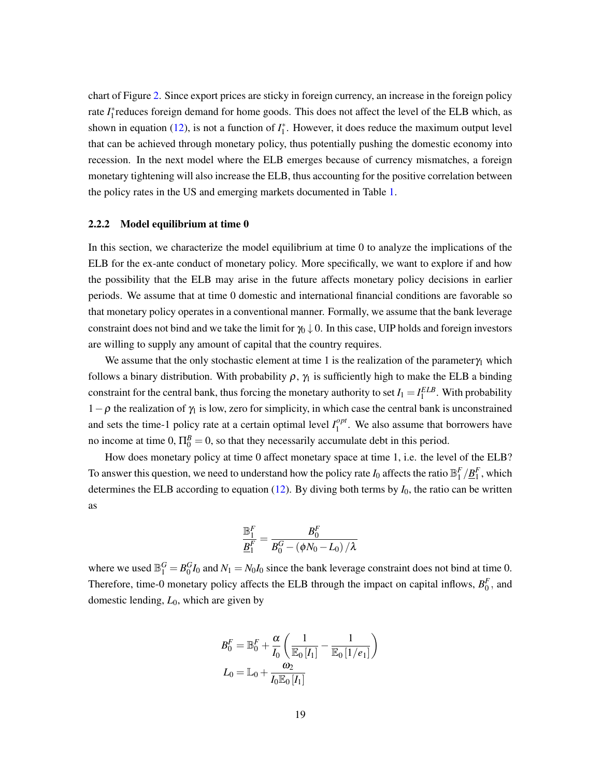chart of Figure [2.](#page-18-1) Since export prices are sticky in foreign currency, an increase in the foreign policy rate *I*<sup>\*</sup><sub>1</sub> reduces foreign demand for home goods. This does not affect the level of the ELB which, as shown in equation [\(12\)](#page-16-0), is not a function of  $I_1^*$ . However, it does reduce the maximum output level that can be achieved through monetary policy, thus potentially pushing the domestic economy into recession. In the next model where the ELB emerges because of currency mismatches, a foreign monetary tightening will also increase the ELB, thus accounting for the positive correlation between the policy rates in the US and emerging markets documented in Table [1.](#page-3-0)

#### 2.2.2 Model equilibrium at time 0

In this section, we characterize the model equilibrium at time 0 to analyze the implications of the ELB for the ex-ante conduct of monetary policy. More specifically, we want to explore if and how the possibility that the ELB may arise in the future affects monetary policy decisions in earlier periods. We assume that at time 0 domestic and international financial conditions are favorable so that monetary policy operates in a conventional manner. Formally, we assume that the bank leverage constraint does not bind and we take the limit for  $\gamma_0 \downarrow 0$ . In this case, UIP holds and foreign investors are willing to supply any amount of capital that the country requires.

We assume that the only stochastic element at time 1 is the realization of the parameter $\gamma_1$  which follows a binary distribution. With probability  $\rho$ ,  $\gamma_1$  is sufficiently high to make the ELB a binding constraint for the central bank, thus forcing the monetary authority to set  $I_1 = I_1^{ELB}$ . With probability  $1-\rho$  the realization of  $\gamma_1$  is low, zero for simplicity, in which case the central bank is unconstrained and sets the time-1 policy rate at a certain optimal level  $I_1^{opt}$  $1<sup>opt</sup>$ . We also assume that borrowers have no income at time  $0, \Pi_0^B = 0$ , so that they necessarily accumulate debt in this period.

How does monetary policy at time 0 affect monetary space at time 1, i.e. the level of the ELB? To answer this question, we need to understand how the policy rate  $I_0$  affects the ratio  $\mathbb{B}_1^F/\underline{B}_1^F$ , which determines the ELB according to equation  $(12)$ . By diving both terms by  $I_0$ , the ratio can be written as

$$
\frac{\mathbb{B}_1^F}{\underline{B}_1^F} = \frac{B_0^F}{B_0^G - \left(\phi N_0 - L_0\right)/\lambda}
$$

where we used  $\mathbb{B}_1^G = B_0^G I_0$  and  $N_1 = N_0 I_0$  since the bank leverage constraint does not bind at time 0. Therefore, time-0 monetary policy affects the ELB through the impact on capital inflows,  $B_0^F$ , and domestic lending, *L*0, which are given by

$$
B_0^F = \mathbb{B}_0^F + \frac{\alpha}{I_0} \left( \frac{1}{\mathbb{E}_0 I_1} - \frac{1}{\mathbb{E}_0 I_2} \right)
$$
  

$$
L_0 = \mathbb{L}_0 + \frac{\omega_2}{I_0 \mathbb{E}_0 I_1}
$$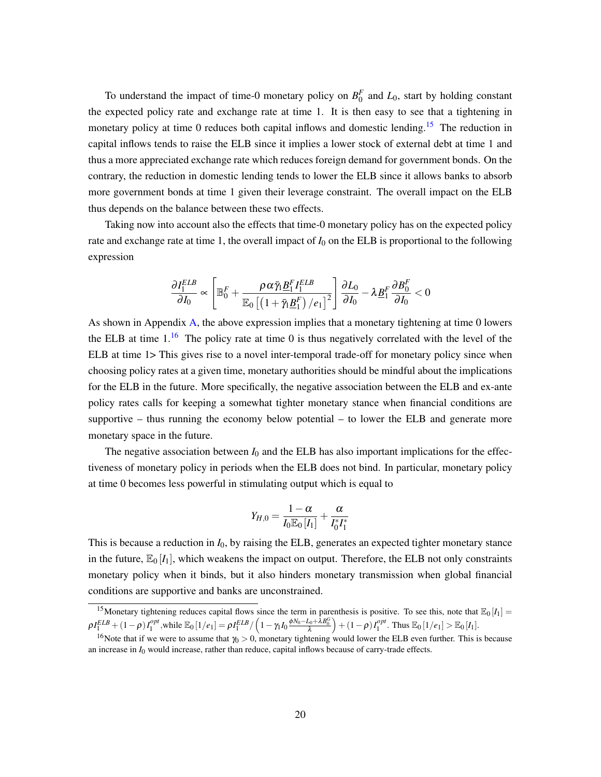To understand the impact of time-0 monetary policy on  $B_0^F$  and  $L_0$ , start by holding constant the expected policy rate and exchange rate at time 1. It is then easy to see that a tightening in monetary policy at time 0 reduces both capital inflows and domestic lending.<sup>[15](#page-20-0)</sup> The reduction in capital inflows tends to raise the ELB since it implies a lower stock of external debt at time 1 and thus a more appreciated exchange rate which reduces foreign demand for government bonds. On the contrary, the reduction in domestic lending tends to lower the ELB since it allows banks to absorb more government bonds at time 1 given their leverage constraint. The overall impact on the ELB thus depends on the balance between these two effects.

Taking now into account also the effects that time-0 monetary policy has on the expected policy rate and exchange rate at time 1, the overall impact of *I*<sup>0</sup> on the ELB is proportional to the following expression

$$
\frac{\partial I_1^{ELB}}{\partial I_0} \propto \left[\mathbb{B}_0^F + \frac{\rho \alpha \bar{\gamma}_l \underline{B}_1^F I_1^{ELB}}{\mathbb{E}_0\left[\left(1 + \bar{\gamma}_l \underline{B}_1^F\right) / e_1\right]^2}\right] \frac{\partial L_0}{\partial I_0} - \lambda \underline{B}_1^F \frac{\partial B_0^F}{\partial I_0} < 0
$$

As shown in Appendix [A,](#page-35-0) the above expression implies that a monetary tightening at time 0 lowers the ELB at time  $1<sup>16</sup>$  $1<sup>16</sup>$  $1<sup>16</sup>$  The policy rate at time 0 is thus negatively correlated with the level of the ELB at time 1> This gives rise to a novel inter-temporal trade-off for monetary policy since when choosing policy rates at a given time, monetary authorities should be mindful about the implications for the ELB in the future. More specifically, the negative association between the ELB and ex-ante policy rates calls for keeping a somewhat tighter monetary stance when financial conditions are supportive – thus running the economy below potential – to lower the ELB and generate more monetary space in the future.

The negative association between  $I_0$  and the ELB has also important implications for the effectiveness of monetary policy in periods when the ELB does not bind. In particular, monetary policy at time 0 becomes less powerful in stimulating output which is equal to

$$
Y_{H,0} = \frac{1-\alpha}{I_0 \mathbb{E}_0 [I_1]} + \frac{\alpha}{I_0^* I_1^*}
$$

This is because a reduction in *I*0, by raising the ELB, generates an expected tighter monetary stance in the future,  $\mathbb{E}_0[I_1]$ , which weakens the impact on output. Therefore, the ELB not only constraints monetary policy when it binds, but it also hinders monetary transmission when global financial conditions are supportive and banks are unconstrained.

<span id="page-20-0"></span><sup>&</sup>lt;sup>15</sup>Monetary tightening reduces capital flows since the term in parenthesis is positive. To see this, note that  $\mathbb{E}_0[I_1] =$  $\rho I_1^{ELB} + (1-\rho)I_1^{opt},$  while  $\mathbb{E}_0\left[1/e_1\right] = \rho I_1^{ELB}/\left(1-\gamma_1 I_0\frac{\phi N_0-L_0+\lambda B_0^G}{\lambda}\right) + (1-\rho)I_1^{opt}.$  Thus  $\mathbb{E}_0\left[1/e_1\right] > \mathbb{E}_0\left[I_1\right].$ 

<span id="page-20-1"></span><sup>&</sup>lt;sup>16</sup>Note that if we were to assume that  $\gamma_0 > 0$ , monetary tightening would lower the ELB even further. This is because an increase in *I*<sup>0</sup> would increase, rather than reduce, capital inflows because of carry-trade effects.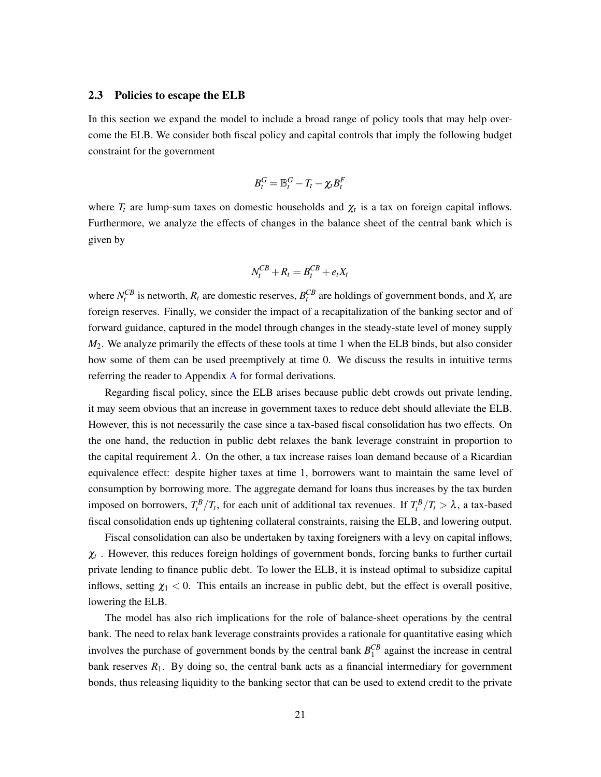#### <span id="page-21-0"></span>2.3 Policies to escape the ELB

In this section we expand the model to include a broad range of policy tools that may help overcome the ELB. We consider both fiscal policy and capital controls that imply the following budget constraint for the government

$$
B_t^G = \mathbb{B}_t^G - T_t - \chi_t B_t^F
$$

where  $T_t$  are lump-sum taxes on domestic households and  $\chi_t$  is a tax on foreign capital inflows. Furthermore, we analyze the effects of changes in the balance sheet of the central bank which is given by

$$
N_t^{CB} + R_t = B_t^{CB} + e_t X_t
$$

where  $N_t^{CB}$  is networth,  $R_t$  are domestic reserves,  $B_t^{CB}$  are holdings of government bonds, and  $X_t$  are foreign reserves. Finally, we consider the impact of a recapitalization of the banking sector and of forward guidance, captured in the model through changes in the steady-state level of money supply *M*2. We analyze primarily the effects of these tools at time 1 when the ELB binds, but also consider how some of them can be used preemptively at time 0. We discuss the results in intuitive terms referring the reader to Appendix [A](#page-35-0) for formal derivations.

Regarding fiscal policy, since the ELB arises because public debt crowds out private lending, it may seem obvious that an increase in government taxes to reduce debt should alleviate the ELB. However, this is not necessarily the case since a tax-based fiscal consolidation has two effects. On the one hand, the reduction in public debt relaxes the bank leverage constraint in proportion to the capital requirement  $\lambda$ . On the other, a tax increase raises loan demand because of a Ricardian equivalence effect: despite higher taxes at time 1, borrowers want to maintain the same level of consumption by borrowing more. The aggregate demand for loans thus increases by the tax burden imposed on borrowers,  $T_t^B/T_t$ , for each unit of additional tax revenues. If  $T_t^B/T_t > \lambda$ , a tax-based fiscal consolidation ends up tightening collateral constraints, raising the ELB, and lowering output.

Fiscal consolidation can also be undertaken by taxing foreigners with a levy on capital inflows,  $\chi_t$ . However, this reduces foreign holdings of government bonds, forcing banks to further curtail private lending to finance public debt. To lower the ELB, it is instead optimal to subsidize capital inflows, setting  $\chi_1 < 0$ . This entails an increase in public debt, but the effect is overall positive, lowering the ELB.

The model has also rich implications for the role of balance-sheet operations by the central bank. The need to relax bank leverage constraints provides a rationale for quantitative easing which involves the purchase of government bonds by the central bank  $B_1^{CB}$  against the increase in central bank reserves  $R_1$ . By doing so, the central bank acts as a financial intermediary for government bonds, thus releasing liquidity to the banking sector that can be used to extend credit to the private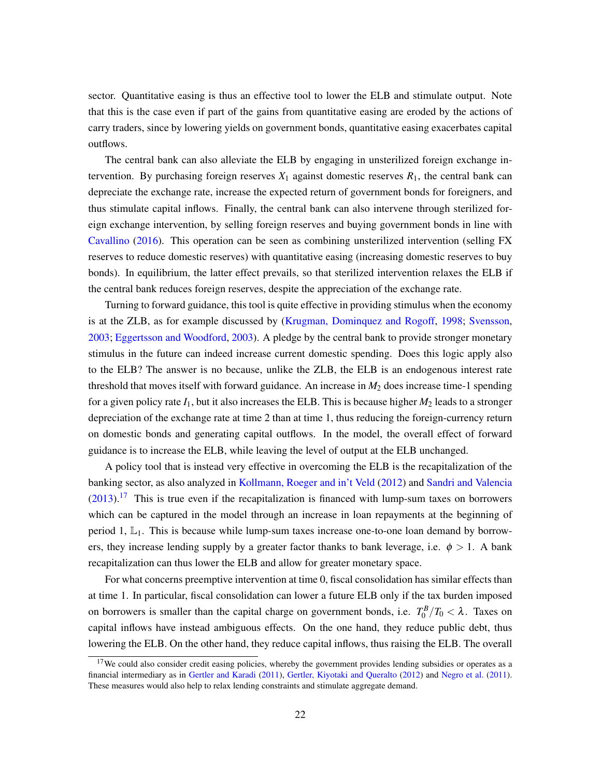sector. Quantitative easing is thus an effective tool to lower the ELB and stimulate output. Note that this is the case even if part of the gains from quantitative easing are eroded by the actions of carry traders, since by lowering yields on government bonds, quantitative easing exacerbates capital outflows.

The central bank can also alleviate the ELB by engaging in unsterilized foreign exchange intervention. By purchasing foreign reserves  $X_1$  against domestic reserves  $R_1$ , the central bank can depreciate the exchange rate, increase the expected return of government bonds for foreigners, and thus stimulate capital inflows. Finally, the central bank can also intervene through sterilized foreign exchange intervention, by selling foreign reserves and buying government bonds in line with [Cavallino](#page-32-11) [\(2016\)](#page-32-11). This operation can be seen as combining unsterilized intervention (selling FX reserves to reduce domestic reserves) with quantitative easing (increasing domestic reserves to buy bonds). In equilibrium, the latter effect prevails, so that sterilized intervention relaxes the ELB if the central bank reduces foreign reserves, despite the appreciation of the exchange rate.

Turning to forward guidance, this tool is quite effective in providing stimulus when the economy is at the ZLB, as for example discussed by [\(Krugman, Dominquez and Rogoff,](#page-33-11) [1998;](#page-33-11) [Svensson,](#page-34-9) [2003;](#page-34-9) [Eggertsson and Woodford,](#page-32-12) [2003\)](#page-32-12). A pledge by the central bank to provide stronger monetary stimulus in the future can indeed increase current domestic spending. Does this logic apply also to the ELB? The answer is no because, unlike the ZLB, the ELB is an endogenous interest rate threshold that moves itself with forward guidance. An increase in *M*<sup>2</sup> does increase time-1 spending for a given policy rate  $I_1$ , but it also increases the ELB. This is because higher  $M_2$  leads to a stronger depreciation of the exchange rate at time 2 than at time 1, thus reducing the foreign-currency return on domestic bonds and generating capital outflows. In the model, the overall effect of forward guidance is to increase the ELB, while leaving the level of output at the ELB unchanged.

A policy tool that is instead very effective in overcoming the ELB is the recapitalization of the banking sector, as also analyzed in [Kollmann, Roeger and in't Veld](#page-33-12) [\(2012\)](#page-33-12) and [Sandri and Valencia](#page-34-10)  $(2013).<sup>17</sup>$  $(2013).<sup>17</sup>$  $(2013).<sup>17</sup>$  $(2013).<sup>17</sup>$  This is true even if the recapitalization is financed with lump-sum taxes on borrowers which can be captured in the model through an increase in loan repayments at the beginning of period 1,  $\mathbb{L}_1$ . This is because while lump-sum taxes increase one-to-one loan demand by borrowers, they increase lending supply by a greater factor thanks to bank leverage, i.e.  $\phi > 1$ . A bank recapitalization can thus lower the ELB and allow for greater monetary space.

For what concerns preemptive intervention at time 0, fiscal consolidation has similar effects than at time 1. In particular, fiscal consolidation can lower a future ELB only if the tax burden imposed on borrowers is smaller than the capital charge on government bonds, i.e.  $T_0^B/T_0 < \lambda$ . Taxes on capital inflows have instead ambiguous effects. On the one hand, they reduce public debt, thus lowering the ELB. On the other hand, they reduce capital inflows, thus raising the ELB. The overall

<span id="page-22-0"></span><sup>&</sup>lt;sup>17</sup>We could also consider credit easing policies, whereby the government provides lending subsidies or operates as a financial intermediary as in [Gertler and Karadi](#page-32-13) [\(2011\)](#page-32-13), [Gertler, Kiyotaki and Queralto](#page-33-13) [\(2012\)](#page-33-13) and [Negro et al.](#page-34-11) [\(2011\)](#page-34-11). These measures would also help to relax lending constraints and stimulate aggregate demand.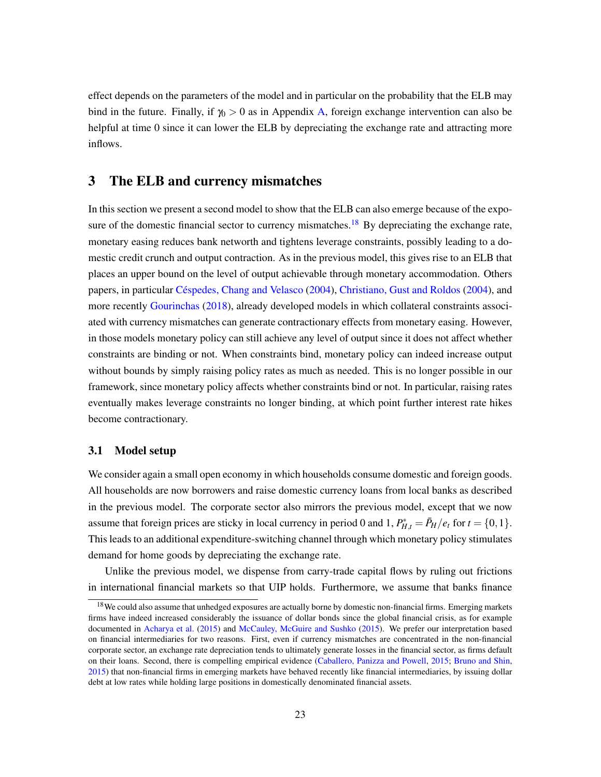effect depends on the parameters of the model and in particular on the probability that the ELB may bind in the future. Finally, if  $\gamma_0 > 0$  as in Appendix [A,](#page-35-0) foreign exchange intervention can also be helpful at time 0 since it can lower the ELB by depreciating the exchange rate and attracting more inflows.

# <span id="page-23-0"></span>3 The ELB and currency mismatches

In this section we present a second model to show that the ELB can also emerge because of the expo-sure of the domestic financial sector to currency mismatches.<sup>[18](#page-23-1)</sup> By depreciating the exchange rate, monetary easing reduces bank networth and tightens leverage constraints, possibly leading to a domestic credit crunch and output contraction. As in the previous model, this gives rise to an ELB that places an upper bound on the level of output achievable through monetary accommodation. Others papers, in particular [Céspedes, Chang and Velasco](#page-32-0) [\(2004\)](#page-32-0), [Christiano, Gust and Roldos](#page-32-1) [\(2004\)](#page-32-1), and more recently [Gourinchas](#page-33-3) [\(2018\)](#page-33-3), already developed models in which collateral constraints associated with currency mismatches can generate contractionary effects from monetary easing. However, in those models monetary policy can still achieve any level of output since it does not affect whether constraints are binding or not. When constraints bind, monetary policy can indeed increase output without bounds by simply raising policy rates as much as needed. This is no longer possible in our framework, since monetary policy affects whether constraints bind or not. In particular, raising rates eventually makes leverage constraints no longer binding, at which point further interest rate hikes become contractionary.

#### 3.1 Model setup

We consider again a small open economy in which households consume domestic and foreign goods. All households are now borrowers and raise domestic currency loans from local banks as described in the previous model. The corporate sector also mirrors the previous model, except that we now assume that foreign prices are sticky in local currency in period 0 and 1,  $P_{H,t}^* = \bar{P}_H/e_t$  for  $t = \{0, 1\}$ . This leads to an additional expenditure-switching channel through which monetary policy stimulates demand for home goods by depreciating the exchange rate.

Unlike the previous model, we dispense from carry-trade capital flows by ruling out frictions in international financial markets so that UIP holds. Furthermore, we assume that banks finance

<span id="page-23-1"></span><sup>&</sup>lt;sup>18</sup>We could also assume that unhedged exposures are actually borne by domestic non-financial firms. Emerging markets firms have indeed increased considerably the issuance of dollar bonds since the global financial crisis, as for example documented in [Acharya et al.](#page-31-2) [\(2015\)](#page-31-2) and [McCauley, McGuire and Sushko](#page-33-1) [\(2015\)](#page-33-1). We prefer our interpretation based on financial intermediaries for two reasons. First, even if currency mismatches are concentrated in the non-financial corporate sector, an exchange rate depreciation tends to ultimately generate losses in the financial sector, as firms default on their loans. Second, there is compelling empirical evidence [\(Caballero, Panizza and Powell,](#page-32-14) [2015;](#page-32-14) [Bruno and Shin,](#page-32-6) [2015\)](#page-32-6) that non-financial firms in emerging markets have behaved recently like financial intermediaries, by issuing dollar debt at low rates while holding large positions in domestically denominated financial assets.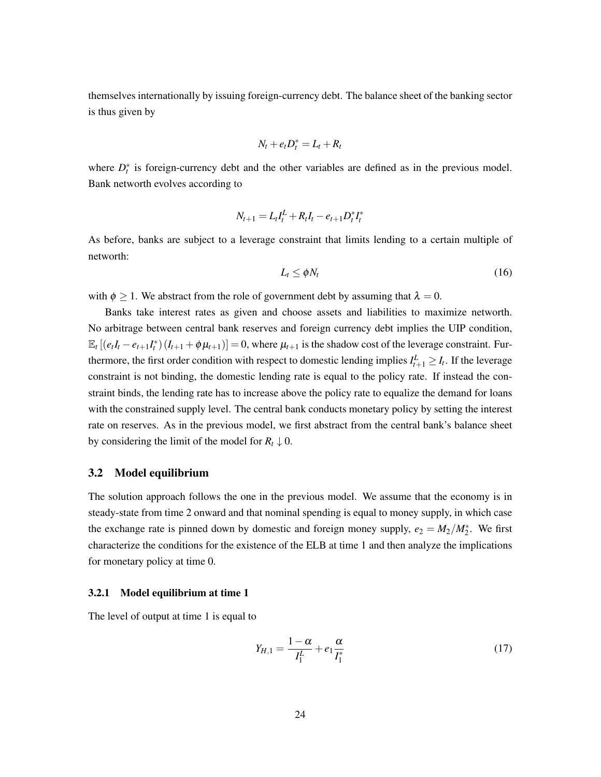themselves internationally by issuing foreign-currency debt. The balance sheet of the banking sector is thus given by

$$
N_t + e_t D_t^* = L_t + R_t
$$

where  $D_t^*$  is foreign-currency debt and the other variables are defined as in the previous model. Bank networth evolves according to

$$
N_{t+1} = L_t I_t^L + R_t I_t - e_{t+1} D_t^* I_t^*
$$

As before, banks are subject to a leverage constraint that limits lending to a certain multiple of networth:

<span id="page-24-0"></span>
$$
L_t \leq \phi N_t \tag{16}
$$

with  $\phi \geq 1$ . We abstract from the role of government debt by assuming that  $\lambda = 0$ .

Banks take interest rates as given and choose assets and liabilities to maximize networth. No arbitrage between central bank reserves and foreign currency debt implies the UIP condition,  $\mathbb{E}_t \left[ \left( e_t I_t - e_{t+1} I_t^* \right) (I_{t+1} + \phi \mu_{t+1}) \right] = 0$ , where  $\mu_{t+1}$  is the shadow cost of the leverage constraint. Furthermore, the first order condition with respect to domestic lending implies  $I_{t+1}^L \geq I_t$ . If the leverage constraint is not binding, the domestic lending rate is equal to the policy rate. If instead the constraint binds, the lending rate has to increase above the policy rate to equalize the demand for loans with the constrained supply level. The central bank conducts monetary policy by setting the interest rate on reserves. As in the previous model, we first abstract from the central bank's balance sheet by considering the limit of the model for  $R_t \downarrow 0$ .

#### 3.2 Model equilibrium

The solution approach follows the one in the previous model. We assume that the economy is in steady-state from time 2 onward and that nominal spending is equal to money supply, in which case the exchange rate is pinned down by domestic and foreign money supply,  $e_2 = M_2/M_2^*$ . We first characterize the conditions for the existence of the ELB at time 1 and then analyze the implications for monetary policy at time 0.

#### 3.2.1 Model equilibrium at time 1

The level of output at time 1 is equal to

<span id="page-24-1"></span>
$$
Y_{H,1} = \frac{1 - \alpha}{I_1^L} + e_1 \frac{\alpha}{I_1^*}
$$
 (17)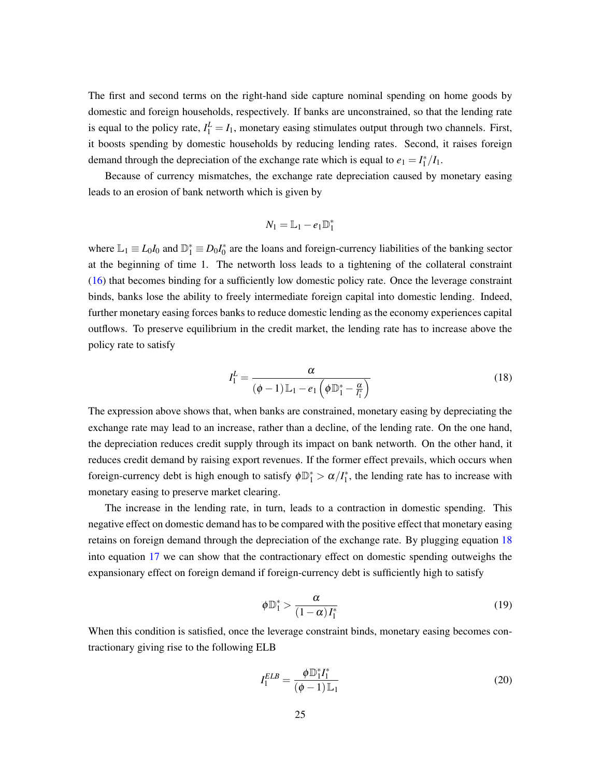The first and second terms on the right-hand side capture nominal spending on home goods by domestic and foreign households, respectively. If banks are unconstrained, so that the lending rate is equal to the policy rate,  $I_1^L = I_1$ , monetary easing stimulates output through two channels. First, it boosts spending by domestic households by reducing lending rates. Second, it raises foreign demand through the depreciation of the exchange rate which is equal to  $e_1 = I_1^*/I_1$ .

Because of currency mismatches, the exchange rate depreciation caused by monetary easing leads to an erosion of bank networth which is given by

$$
N_1=\mathbb{L}_1-e_1\mathbb{D}_1^*
$$

where  $\mathbb{L}_1 \equiv L_0 I_0$  and  $\mathbb{D}_1^* \equiv D_0 I_0^*$  are the loans and foreign-currency liabilities of the banking sector at the beginning of time 1. The networth loss leads to a tightening of the collateral constraint [\(16\)](#page-24-0) that becomes binding for a sufficiently low domestic policy rate. Once the leverage constraint binds, banks lose the ability to freely intermediate foreign capital into domestic lending. Indeed, further monetary easing forces banks to reduce domestic lending as the economy experiences capital outflows. To preserve equilibrium in the credit market, the lending rate has to increase above the policy rate to satisfy

<span id="page-25-0"></span>
$$
I_1^L = \frac{\alpha}{(\phi - 1)\mathbb{L}_1 - e_1\left(\phi \mathbb{D}_1^* - \frac{\alpha}{I_1^*}\right)}
$$
(18)

The expression above shows that, when banks are constrained, monetary easing by depreciating the exchange rate may lead to an increase, rather than a decline, of the lending rate. On the one hand, the depreciation reduces credit supply through its impact on bank networth. On the other hand, it reduces credit demand by raising export revenues. If the former effect prevails, which occurs when foreign-currency debt is high enough to satisfy  $\phi \mathbb{D}_1^* > \alpha / I_1^*$ , the lending rate has to increase with monetary easing to preserve market clearing.

The increase in the lending rate, in turn, leads to a contraction in domestic spending. This negative effect on domestic demand has to be compared with the positive effect that monetary easing retains on foreign demand through the depreciation of the exchange rate. By plugging equation [18](#page-25-0) into equation [17](#page-24-1) we can show that the contractionary effect on domestic spending outweighs the expansionary effect on foreign demand if foreign-currency debt is sufficiently high to satisfy

<span id="page-25-1"></span>
$$
\phi \mathbb{D}_1^* > \frac{\alpha}{(1-\alpha)I_1^*} \tag{19}
$$

When this condition is satisfied, once the leverage constraint binds, monetary easing becomes contractionary giving rise to the following ELB

<span id="page-25-2"></span>
$$
I_1^{ELB} = \frac{\phi \mathbb{D}_1^* I_1^*}{(\phi - 1)\mathbb{L}_1} \tag{20}
$$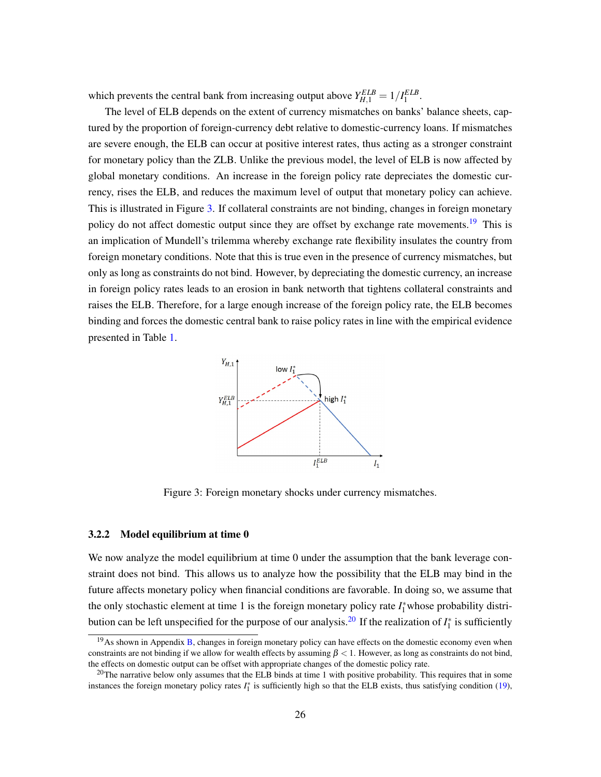which prevents the central bank from increasing output above  $Y_{H,1}^{ELB} = 1/I_1^{ELB}$ .

The level of ELB depends on the extent of currency mismatches on banks' balance sheets, captured by the proportion of foreign-currency debt relative to domestic-currency loans. If mismatches are severe enough, the ELB can occur at positive interest rates, thus acting as a stronger constraint for monetary policy than the ZLB. Unlike the previous model, the level of ELB is now affected by global monetary conditions. An increase in the foreign policy rate depreciates the domestic currency, rises the ELB, and reduces the maximum level of output that monetary policy can achieve. This is illustrated in Figure [3.](#page-26-0) If collateral constraints are not binding, changes in foreign monetary policy do not affect domestic output since they are offset by exchange rate movements.<sup>[19](#page-26-1)</sup> This is an implication of Mundell's trilemma whereby exchange rate flexibility insulates the country from foreign monetary conditions. Note that this is true even in the presence of currency mismatches, but only as long as constraints do not bind. However, by depreciating the domestic currency, an increase in foreign policy rates leads to an erosion in bank networth that tightens collateral constraints and raises the ELB. Therefore, for a large enough increase of the foreign policy rate, the ELB becomes binding and forces the domestic central bank to raise policy rates in line with the empirical evidence presented in Table [1.](#page-3-0)



<span id="page-26-0"></span>Figure 3: Foreign monetary shocks under currency mismatches.

#### 3.2.2 Model equilibrium at time 0

We now analyze the model equilibrium at time 0 under the assumption that the bank leverage constraint does not bind. This allows us to analyze how the possibility that the ELB may bind in the future affects monetary policy when financial conditions are favorable. In doing so, we assume that the only stochastic element at time 1 is the foreign monetary policy rate  $I_1^*$  whose probability distri-bution can be left unspecified for the purpose of our analysis.<sup>[20](#page-26-2)</sup> If the realization of  $I_1^*$  is sufficiently

<span id="page-26-1"></span><sup>&</sup>lt;sup>19</sup>As shown in Appendix [B,](#page-42-0) changes in foreign monetary policy can have effects on the domestic economy even when constraints are not binding if we allow for wealth effects by assuming  $\beta$  < 1. However, as long as constraints do not bind, the effects on domestic output can be offset with appropriate changes of the domestic policy rate.

<span id="page-26-2"></span> $20$ The narrative below only assumes that the ELB binds at time 1 with positive probability. This requires that in some instances the foreign monetary policy rates  $I_1^*$  is sufficiently high so that the ELB exists, thus satisfying condition [\(19\)](#page-25-1),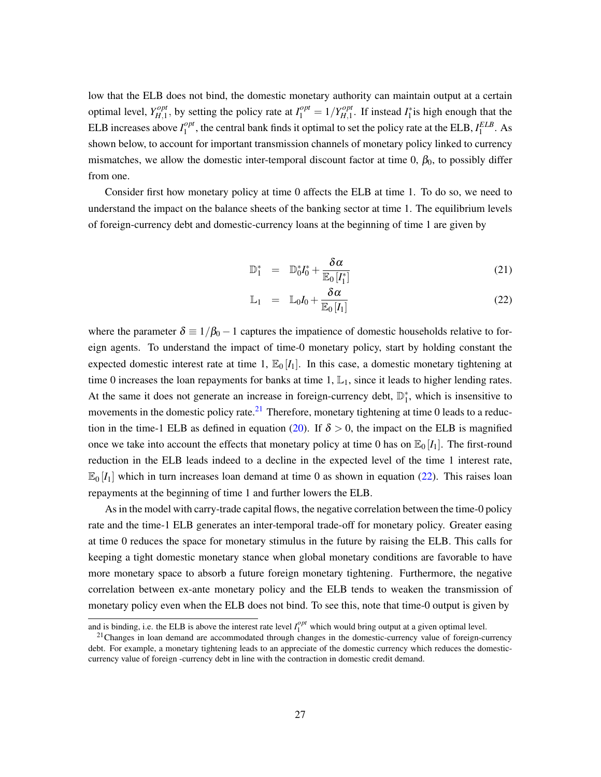low that the ELB does not bind, the domestic monetary authority can maintain output at a certain optimal level, *Y opt*  $H_{H,1}^{opt}$ , by setting the policy rate at  $I_1^{opt} = 1/Y_{H,1}^{opt}$  $H_{H,1}^{opt}$ . If instead  $I_1^*$  is high enough that the ELB increases above  $I_1^{opt}$  $_{1}^{\text{opt}}$ , the central bank finds it optimal to set the policy rate at the ELB,  $I_1^{ELB}$ . As shown below, to account for important transmission channels of monetary policy linked to currency mismatches, we allow the domestic inter-temporal discount factor at time 0,  $\beta_0$ , to possibly differ from one.

Consider first how monetary policy at time 0 affects the ELB at time 1. To do so, we need to understand the impact on the balance sheets of the banking sector at time 1. The equilibrium levels of foreign-currency debt and domestic-currency loans at the beginning of time 1 are given by

<span id="page-27-1"></span>
$$
\mathbb{D}_1^* = \mathbb{D}_0^* I_0^* + \frac{\delta \alpha}{\mathbb{E}_0 [I_1^*]} \tag{21}
$$

$$
\mathbb{L}_1 = \mathbb{L}_0 I_0 + \frac{\delta \alpha}{\mathbb{E}_0 [I_1]}
$$
 (22)

where the parameter  $\delta \equiv 1/\beta_0 - 1$  captures the impatience of domestic households relative to foreign agents. To understand the impact of time-0 monetary policy, start by holding constant the expected domestic interest rate at time 1,  $\mathbb{E}_0[I_1]$ . In this case, a domestic monetary tightening at time 0 increases the loan repayments for banks at time 1,  $\mathbb{L}_1$ , since it leads to higher lending rates. At the same it does not generate an increase in foreign-currency debt,  $\mathbb{D}_1^*$ , which is insensitive to movements in the domestic policy rate.<sup>[21](#page-27-0)</sup> Therefore, monetary tightening at time 0 leads to a reduc-tion in the time-1 ELB as defined in equation [\(20\)](#page-25-2). If  $\delta > 0$ , the impact on the ELB is magnified once we take into account the effects that monetary policy at time 0 has on  $\mathbb{E}_0[I_1]$ . The first-round reduction in the ELB leads indeed to a decline in the expected level of the time 1 interest rate,  $\mathbb{E}_{0}[I_1]$  which in turn increases loan demand at time 0 as shown in equation [\(22\)](#page-27-1). This raises loan repayments at the beginning of time 1 and further lowers the ELB.

As in the model with carry-trade capital flows, the negative correlation between the time-0 policy rate and the time-1 ELB generates an inter-temporal trade-off for monetary policy. Greater easing at time 0 reduces the space for monetary stimulus in the future by raising the ELB. This calls for keeping a tight domestic monetary stance when global monetary conditions are favorable to have more monetary space to absorb a future foreign monetary tightening. Furthermore, the negative correlation between ex-ante monetary policy and the ELB tends to weaken the transmission of monetary policy even when the ELB does not bind. To see this, note that time-0 output is given by

and is binding, i.e. the ELB is above the interest rate level  $I_1^{opt}$  which would bring output at a given optimal level.

<span id="page-27-0"></span> $21$ Changes in loan demand are accommodated through changes in the domestic-currency value of foreign-currency debt. For example, a monetary tightening leads to an appreciate of the domestic currency which reduces the domesticcurrency value of foreign -currency debt in line with the contraction in domestic credit demand.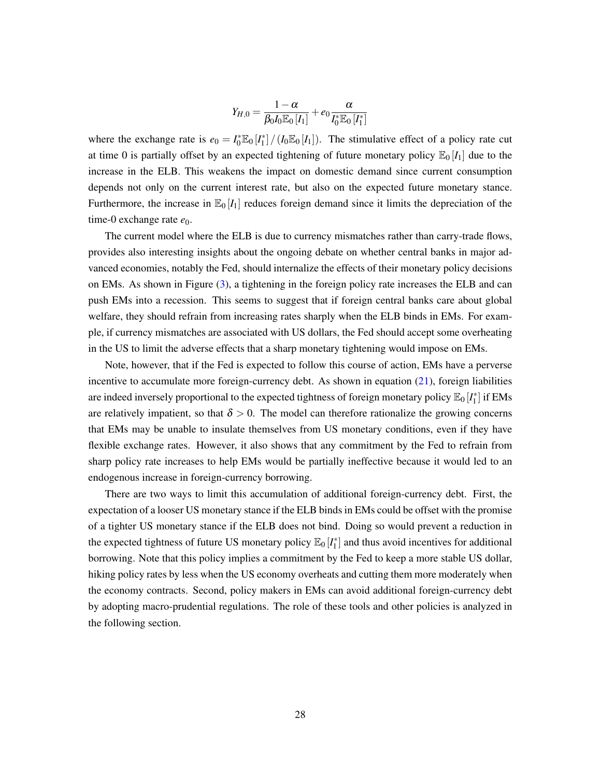$$
Y_{H,0}=\frac{1-\alpha}{\beta_0 I_0 \mathbb{E}_0\left[I_1\right]}+e_0\frac{\alpha}{I_0^*\mathbb{E}_0\left[I_1^*\right]}
$$

where the exchange rate is  $e_0 = I_0^* \mathbb{E}_0[I_1^*]/(I_0 \mathbb{E}_0[I_1])$ . The stimulative effect of a policy rate cut at time 0 is partially offset by an expected tightening of future monetary policy  $\mathbb{E}_0[I_1]$  due to the increase in the ELB. This weakens the impact on domestic demand since current consumption depends not only on the current interest rate, but also on the expected future monetary stance. Furthermore, the increase in  $\mathbb{E}_0[I_1]$  reduces foreign demand since it limits the depreciation of the time-0 exchange rate  $e_0$ .

The current model where the ELB is due to currency mismatches rather than carry-trade flows, provides also interesting insights about the ongoing debate on whether central banks in major advanced economies, notably the Fed, should internalize the effects of their monetary policy decisions on EMs. As shown in Figure [\(3\)](#page-26-0), a tightening in the foreign policy rate increases the ELB and can push EMs into a recession. This seems to suggest that if foreign central banks care about global welfare, they should refrain from increasing rates sharply when the ELB binds in EMs. For example, if currency mismatches are associated with US dollars, the Fed should accept some overheating in the US to limit the adverse effects that a sharp monetary tightening would impose on EMs.

Note, however, that if the Fed is expected to follow this course of action, EMs have a perverse incentive to accumulate more foreign-currency debt. As shown in equation [\(21\)](#page-27-1), foreign liabilities are indeed inversely proportional to the expected tightness of foreign monetary policy  $\mathbb{E}_0[I_1^*]$  if EMs are relatively impatient, so that  $\delta > 0$ . The model can therefore rationalize the growing concerns that EMs may be unable to insulate themselves from US monetary conditions, even if they have flexible exchange rates. However, it also shows that any commitment by the Fed to refrain from sharp policy rate increases to help EMs would be partially ineffective because it would led to an endogenous increase in foreign-currency borrowing.

There are two ways to limit this accumulation of additional foreign-currency debt. First, the expectation of a looser US monetary stance if the ELB binds in EMs could be offset with the promise of a tighter US monetary stance if the ELB does not bind. Doing so would prevent a reduction in the expected tightness of future US monetary policy  $\mathbb{E}_0[I_1^*]$  and thus avoid incentives for additional borrowing. Note that this policy implies a commitment by the Fed to keep a more stable US dollar, hiking policy rates by less when the US economy overheats and cutting them more moderately when the economy contracts. Second, policy makers in EMs can avoid additional foreign-currency debt by adopting macro-prudential regulations. The role of these tools and other policies is analyzed in the following section.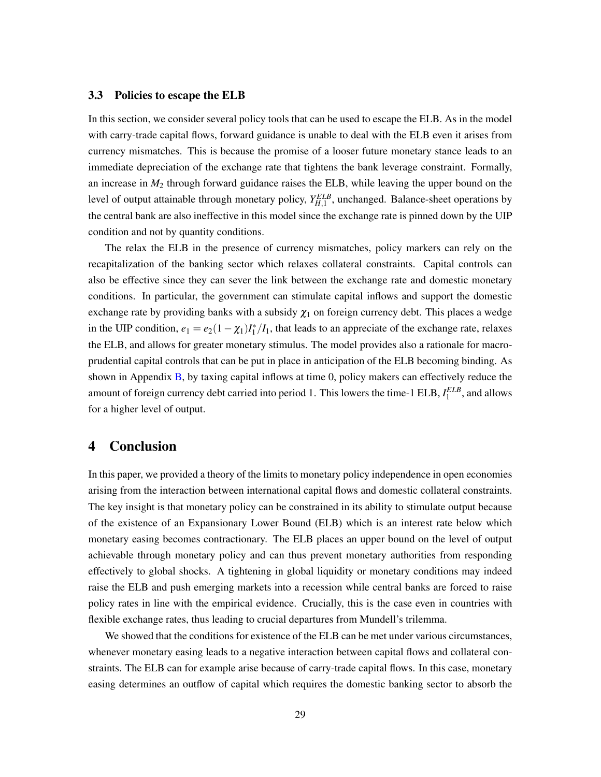#### 3.3 Policies to escape the ELB

In this section, we consider several policy tools that can be used to escape the ELB. As in the model with carry-trade capital flows, forward guidance is unable to deal with the ELB even it arises from currency mismatches. This is because the promise of a looser future monetary stance leads to an immediate depreciation of the exchange rate that tightens the bank leverage constraint. Formally, an increase in  $M_2$  through forward guidance raises the ELB, while leaving the upper bound on the level of output attainable through monetary policy,  $Y_{H,1}^{ELB}$ , unchanged. Balance-sheet operations by the central bank are also ineffective in this model since the exchange rate is pinned down by the UIP condition and not by quantity conditions.

The relax the ELB in the presence of currency mismatches, policy markers can rely on the recapitalization of the banking sector which relaxes collateral constraints. Capital controls can also be effective since they can sever the link between the exchange rate and domestic monetary conditions. In particular, the government can stimulate capital inflows and support the domestic exchange rate by providing banks with a subsidy  $\chi_1$  on foreign currency debt. This places a wedge in the UIP condition,  $e_1 = e_2(1 - \chi_1)I_1^*/I_1$ , that leads to an appreciate of the exchange rate, relaxes the ELB, and allows for greater monetary stimulus. The model provides also a rationale for macroprudential capital controls that can be put in place in anticipation of the ELB becoming binding. As shown in Appendix [B,](#page-42-0) by taxing capital inflows at time 0, policy makers can effectively reduce the amount of foreign currency debt carried into period 1. This lowers the time-1 ELB,  $I_1^{ELB}$ , and allows for a higher level of output.

### 4 Conclusion

In this paper, we provided a theory of the limits to monetary policy independence in open economies arising from the interaction between international capital flows and domestic collateral constraints. The key insight is that monetary policy can be constrained in its ability to stimulate output because of the existence of an Expansionary Lower Bound (ELB) which is an interest rate below which monetary easing becomes contractionary. The ELB places an upper bound on the level of output achievable through monetary policy and can thus prevent monetary authorities from responding effectively to global shocks. A tightening in global liquidity or monetary conditions may indeed raise the ELB and push emerging markets into a recession while central banks are forced to raise policy rates in line with the empirical evidence. Crucially, this is the case even in countries with flexible exchange rates, thus leading to crucial departures from Mundell's trilemma.

We showed that the conditions for existence of the ELB can be met under various circumstances, whenever monetary easing leads to a negative interaction between capital flows and collateral constraints. The ELB can for example arise because of carry-trade capital flows. In this case, monetary easing determines an outflow of capital which requires the domestic banking sector to absorb the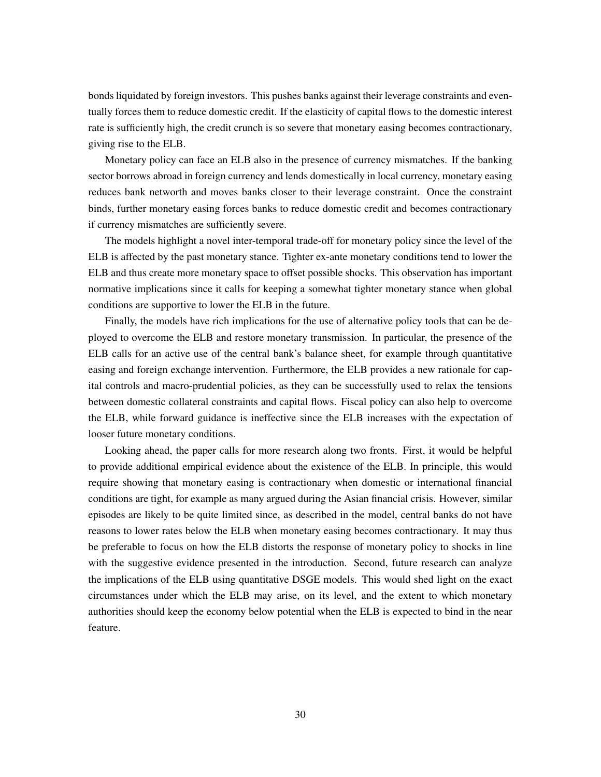bonds liquidated by foreign investors. This pushes banks against their leverage constraints and eventually forces them to reduce domestic credit. If the elasticity of capital flows to the domestic interest rate is sufficiently high, the credit crunch is so severe that monetary easing becomes contractionary, giving rise to the ELB.

Monetary policy can face an ELB also in the presence of currency mismatches. If the banking sector borrows abroad in foreign currency and lends domestically in local currency, monetary easing reduces bank networth and moves banks closer to their leverage constraint. Once the constraint binds, further monetary easing forces banks to reduce domestic credit and becomes contractionary if currency mismatches are sufficiently severe.

The models highlight a novel inter-temporal trade-off for monetary policy since the level of the ELB is affected by the past monetary stance. Tighter ex-ante monetary conditions tend to lower the ELB and thus create more monetary space to offset possible shocks. This observation has important normative implications since it calls for keeping a somewhat tighter monetary stance when global conditions are supportive to lower the ELB in the future.

Finally, the models have rich implications for the use of alternative policy tools that can be deployed to overcome the ELB and restore monetary transmission. In particular, the presence of the ELB calls for an active use of the central bank's balance sheet, for example through quantitative easing and foreign exchange intervention. Furthermore, the ELB provides a new rationale for capital controls and macro-prudential policies, as they can be successfully used to relax the tensions between domestic collateral constraints and capital flows. Fiscal policy can also help to overcome the ELB, while forward guidance is ineffective since the ELB increases with the expectation of looser future monetary conditions.

Looking ahead, the paper calls for more research along two fronts. First, it would be helpful to provide additional empirical evidence about the existence of the ELB. In principle, this would require showing that monetary easing is contractionary when domestic or international financial conditions are tight, for example as many argued during the Asian financial crisis. However, similar episodes are likely to be quite limited since, as described in the model, central banks do not have reasons to lower rates below the ELB when monetary easing becomes contractionary. It may thus be preferable to focus on how the ELB distorts the response of monetary policy to shocks in line with the suggestive evidence presented in the introduction. Second, future research can analyze the implications of the ELB using quantitative DSGE models. This would shed light on the exact circumstances under which the ELB may arise, on its level, and the extent to which monetary authorities should keep the economy below potential when the ELB is expected to bind in the near feature.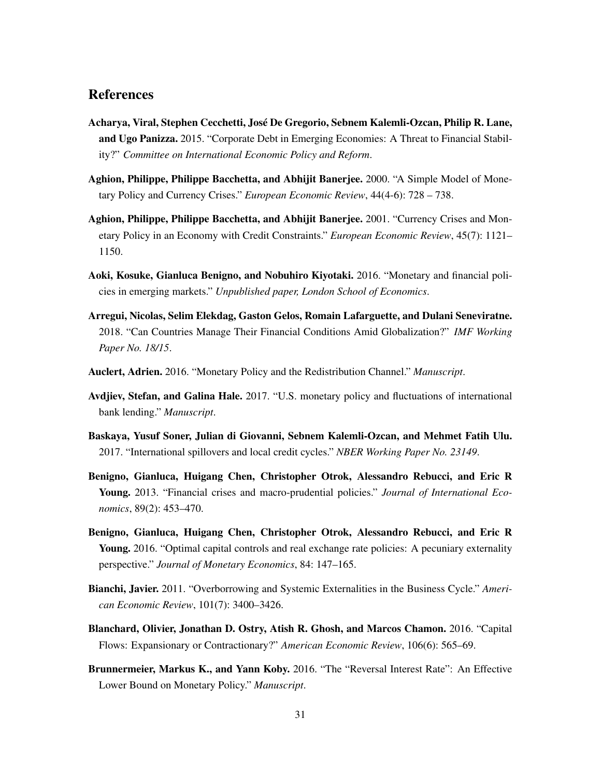# References

- <span id="page-31-2"></span>Acharya, Viral, Stephen Cecchetti, José De Gregorio, Sebnem Kalemli-Ozcan, Philip R. Lane, and Ugo Panizza. 2015. "Corporate Debt in Emerging Economies: A Threat to Financial Stability?" *Committee on International Economic Policy and Reform*.
- <span id="page-31-3"></span>Aghion, Philippe, Philippe Bacchetta, and Abhijit Banerjee. 2000. "A Simple Model of Monetary Policy and Currency Crises." *European Economic Review*, 44(4-6): 728 – 738.
- <span id="page-31-4"></span>Aghion, Philippe, Philippe Bacchetta, and Abhijit Banerjee. 2001. "Currency Crises and Monetary Policy in an Economy with Credit Constraints." *European Economic Review*, 45(7): 1121– 1150.
- <span id="page-31-9"></span>Aoki, Kosuke, Gianluca Benigno, and Nobuhiro Kiyotaki. 2016. "Monetary and financial policies in emerging markets." *Unpublished paper, London School of Economics*.
- <span id="page-31-1"></span>Arregui, Nicolas, Selim Elekdag, Gaston Gelos, Romain Lafarguette, and Dulani Seneviratne. 2018. "Can Countries Manage Their Financial Conditions Amid Globalization?" *IMF Working Paper No. 18/15*.
- <span id="page-31-10"></span>Auclert, Adrien. 2016. "Monetary Policy and the Redistribution Channel." *Manuscript*.
- <span id="page-31-12"></span>Avdjiev, Stefan, and Galina Hale. 2017. "U.S. monetary policy and fluctuations of international bank lending." *Manuscript*.
- <span id="page-31-11"></span>Baskaya, Yusuf Soner, Julian di Giovanni, Sebnem Kalemli-Ozcan, and Mehmet Fatih Ulu. 2017. "International spillovers and local credit cycles." *NBER Working Paper No. 23149*.
- <span id="page-31-7"></span>Benigno, Gianluca, Huigang Chen, Christopher Otrok, Alessandro Rebucci, and Eric R Young. 2013. "Financial crises and macro-prudential policies." *Journal of International Economics*, 89(2): 453–470.
- <span id="page-31-8"></span>Benigno, Gianluca, Huigang Chen, Christopher Otrok, Alessandro Rebucci, and Eric R Young. 2016. "Optimal capital controls and real exchange rate policies: A pecuniary externality perspective." *Journal of Monetary Economics*, 84: 147–165.
- <span id="page-31-6"></span>Bianchi, Javier. 2011. "Overborrowing and Systemic Externalities in the Business Cycle." *American Economic Review*, 101(7): 3400–3426.
- <span id="page-31-0"></span>Blanchard, Olivier, Jonathan D. Ostry, Atish R. Ghosh, and Marcos Chamon. 2016. "Capital Flows: Expansionary or Contractionary?" *American Economic Review*, 106(6): 565–69.
- <span id="page-31-5"></span>Brunnermeier, Markus K., and Yann Koby. 2016. "The "Reversal Interest Rate": An Effective Lower Bound on Monetary Policy." *Manuscript*.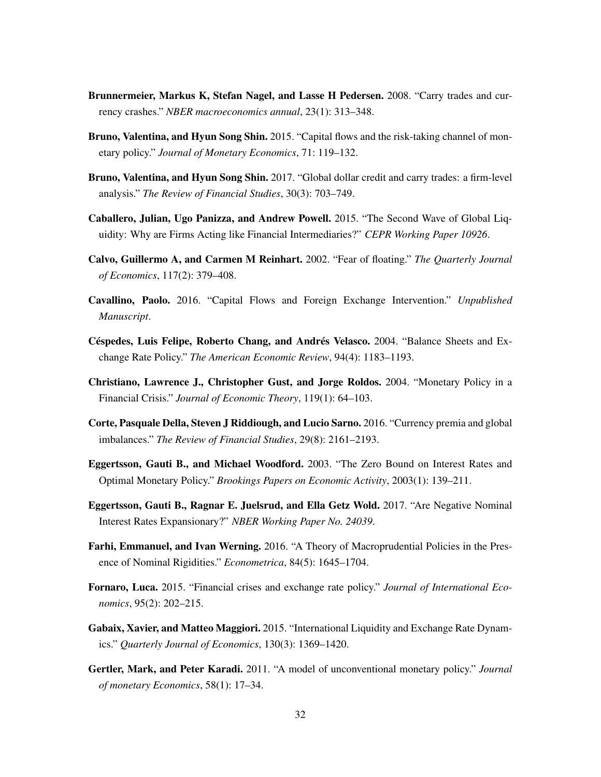- <span id="page-32-8"></span>Brunnermeier, Markus K, Stefan Nagel, and Lasse H Pedersen. 2008. "Carry trades and currency crashes." *NBER macroeconomics annual*, 23(1): 313–348.
- <span id="page-32-6"></span>Bruno, Valentina, and Hyun Song Shin. 2015. "Capital flows and the risk-taking channel of monetary policy." *Journal of Monetary Economics*, 71: 119–132.
- <span id="page-32-7"></span>Bruno, Valentina, and Hyun Song Shin. 2017. "Global dollar credit and carry trades: a firm-level analysis." *The Review of Financial Studies*, 30(3): 703–749.
- <span id="page-32-14"></span>Caballero, Julian, Ugo Panizza, and Andrew Powell. 2015. "The Second Wave of Global Liquidity: Why are Firms Acting like Financial Intermediaries?" *CEPR Working Paper 10926*.
- <span id="page-32-5"></span>Calvo, Guillermo A, and Carmen M Reinhart. 2002. "Fear of floating." *The Quarterly Journal of Economics*, 117(2): 379–408.
- <span id="page-32-11"></span>Cavallino, Paolo. 2016. "Capital Flows and Foreign Exchange Intervention." *Unpublished Manuscript*.
- <span id="page-32-0"></span>Céspedes, Luis Felipe, Roberto Chang, and Andrés Velasco. 2004. "Balance Sheets and Exchange Rate Policy." *The American Economic Review*, 94(4): 1183–1193.
- <span id="page-32-1"></span>Christiano, Lawrence J., Christopher Gust, and Jorge Roldos. 2004. "Monetary Policy in a Financial Crisis." *Journal of Economic Theory*, 119(1): 64–103.
- <span id="page-32-9"></span>Corte, Pasquale Della, Steven J Riddiough, and Lucio Sarno. 2016. "Currency premia and global imbalances." *The Review of Financial Studies*, 29(8): 2161–2193.
- <span id="page-32-12"></span>Eggertsson, Gauti B., and Michael Woodford. 2003. "The Zero Bound on Interest Rates and Optimal Monetary Policy." *Brookings Papers on Economic Activity*, 2003(1): 139–211.
- <span id="page-32-4"></span>Eggertsson, Gauti B., Ragnar E. Juelsrud, and Ella Getz Wold. 2017. "Are Negative Nominal Interest Rates Expansionary?" *NBER Working Paper No. 24039*.
- <span id="page-32-2"></span>Farhi, Emmanuel, and Ivan Werning. 2016. "A Theory of Macroprudential Policies in the Presence of Nominal Rigidities." *Econometrica*, 84(5): 1645–1704.
- <span id="page-32-3"></span>Fornaro, Luca. 2015. "Financial crises and exchange rate policy." *Journal of International Economics*, 95(2): 202–215.
- <span id="page-32-10"></span>Gabaix, Xavier, and Matteo Maggiori. 2015. "International Liquidity and Exchange Rate Dynamics." *Quarterly Journal of Economics*, 130(3): 1369–1420.
- <span id="page-32-13"></span>Gertler, Mark, and Peter Karadi. 2011. "A model of unconventional monetary policy." *Journal of monetary Economics*, 58(1): 17–34.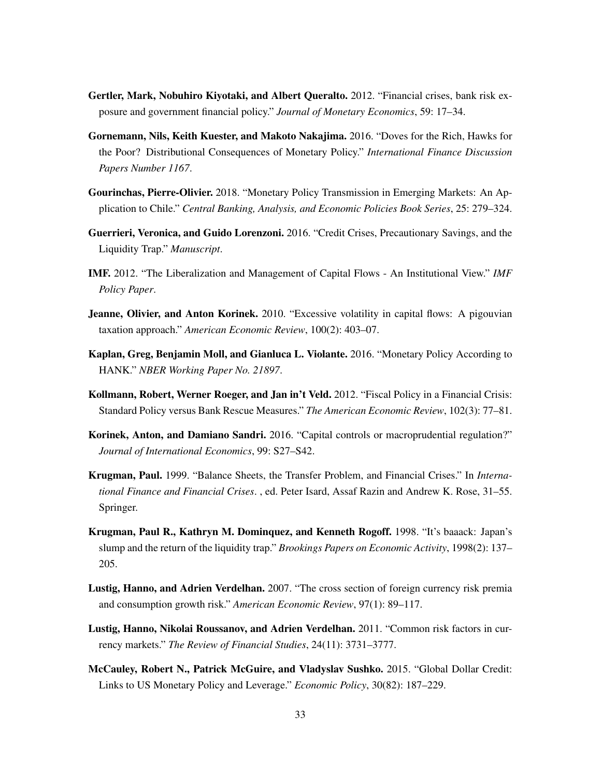- <span id="page-33-13"></span>Gertler, Mark, Nobuhiro Kiyotaki, and Albert Queralto. 2012. "Financial crises, bank risk exposure and government financial policy." *Journal of Monetary Economics*, 59: 17–34.
- <span id="page-33-6"></span>Gornemann, Nils, Keith Kuester, and Makoto Nakajima. 2016. "Doves for the Rich, Hawks for the Poor? Distributional Consequences of Monetary Policy." *International Finance Discussion Papers Number 1167*.
- <span id="page-33-3"></span>Gourinchas, Pierre-Olivier. 2018. "Monetary Policy Transmission in Emerging Markets: An Application to Chile." *Central Banking, Analysis, and Economic Policies Book Series*, 25: 279–324.
- <span id="page-33-8"></span>Guerrieri, Veronica, and Guido Lorenzoni. 2016. "Credit Crises, Precautionary Savings, and the Liquidity Trap." *Manuscript*.
- <span id="page-33-0"></span>IMF. 2012. "The Liberalization and Management of Capital Flows - An Institutional View." *IMF Policy Paper*.
- <span id="page-33-4"></span>**Jeanne, Olivier, and Anton Korinek.** 2010. "Excessive volatility in capital flows: A pigouvian taxation approach." *American Economic Review*, 100(2): 403–07.
- <span id="page-33-7"></span>Kaplan, Greg, Benjamin Moll, and Gianluca L. Violante. 2016. "Monetary Policy According to HANK." *NBER Working Paper No. 21897*.
- <span id="page-33-12"></span>Kollmann, Robert, Werner Roeger, and Jan in't Veld. 2012. "Fiscal Policy in a Financial Crisis: Standard Policy versus Bank Rescue Measures." *The American Economic Review*, 102(3): 77–81.
- <span id="page-33-5"></span>Korinek, Anton, and Damiano Sandri. 2016. "Capital controls or macroprudential regulation?" *Journal of International Economics*, 99: S27–S42.
- <span id="page-33-2"></span>Krugman, Paul. 1999. "Balance Sheets, the Transfer Problem, and Financial Crises." In *International Finance and Financial Crises*. , ed. Peter Isard, Assaf Razin and Andrew K. Rose, 31–55. Springer.
- <span id="page-33-11"></span>Krugman, Paul R., Kathryn M. Dominquez, and Kenneth Rogoff. 1998. "It's baaack: Japan's slump and the return of the liquidity trap." *Brookings Papers on Economic Activity*, 1998(2): 137– 205.
- <span id="page-33-9"></span>Lustig, Hanno, and Adrien Verdelhan. 2007. "The cross section of foreign currency risk premia and consumption growth risk." *American Economic Review*, 97(1): 89–117.
- <span id="page-33-10"></span>Lustig, Hanno, Nikolai Roussanov, and Adrien Verdelhan. 2011. "Common risk factors in currency markets." *The Review of Financial Studies*, 24(11): 3731–3777.
- <span id="page-33-1"></span>McCauley, Robert N., Patrick McGuire, and Vladyslav Sushko. 2015. "Global Dollar Credit: Links to US Monetary Policy and Leverage." *Economic Policy*, 30(82): 187–229.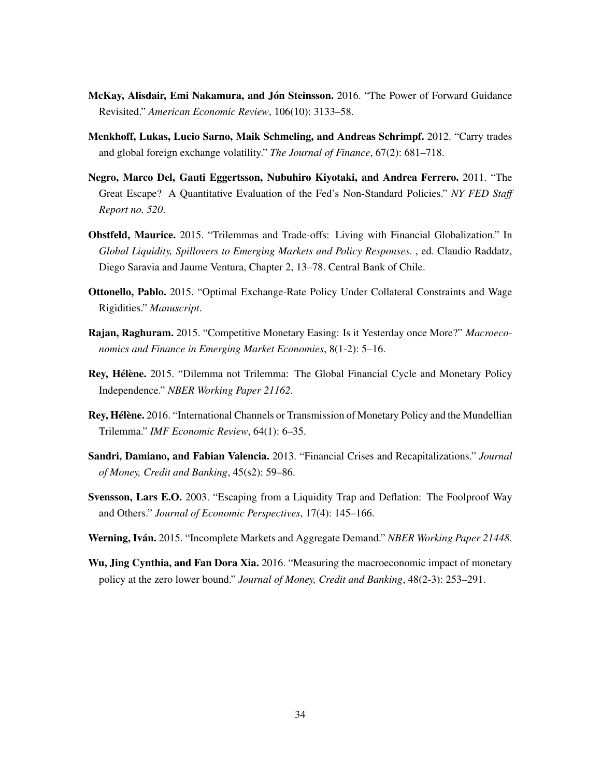- <span id="page-34-6"></span>McKay, Alisdair, Emi Nakamura, and Jón Steinsson. 2016. "The Power of Forward Guidance Revisited." *American Economic Review*, 106(10): 3133–58.
- <span id="page-34-8"></span>Menkhoff, Lukas, Lucio Sarno, Maik Schmeling, and Andreas Schrimpf. 2012. "Carry trades and global foreign exchange volatility." *The Journal of Finance*, 67(2): 681–718.
- <span id="page-34-11"></span>Negro, Marco Del, Gauti Eggertsson, Nubuhiro Kiyotaki, and Andrea Ferrero. 2011. "The Great Escape? A Quantitative Evaluation of the Fed's Non-Standard Policies." *NY FED Staff Report no. 520*.
- <span id="page-34-0"></span>Obstfeld, Maurice. 2015. "Trilemmas and Trade-offs: Living with Financial Globalization." In *Global Liquidity, Spillovers to Emerging Markets and Policy Responses*. , ed. Claudio Raddatz, Diego Saravia and Jaume Ventura, Chapter 2, 13–78. Central Bank of Chile.
- <span id="page-34-5"></span>Ottonello, Pablo. 2015. "Optimal Exchange-Rate Policy Under Collateral Constraints and Wage Rigidities." *Manuscript*.
- <span id="page-34-1"></span>Rajan, Raghuram. 2015. "Competitive Monetary Easing: Is it Yesterday once More?" *Macroeconomics and Finance in Emerging Market Economies*, 8(1-2): 5–16.
- <span id="page-34-2"></span>Rey, Hélène. 2015. "Dilemma not Trilemma: The Global Financial Cycle and Monetary Policy Independence." *NBER Working Paper 21162*.
- <span id="page-34-3"></span>Rey, Hélène. 2016. "International Channels or Transmission of Monetary Policy and the Mundellian Trilemma." *IMF Economic Review*, 64(1): 6–35.
- <span id="page-34-10"></span>Sandri, Damiano, and Fabian Valencia. 2013. "Financial Crises and Recapitalizations." *Journal of Money, Credit and Banking*, 45(s2): 59–86.
- <span id="page-34-9"></span>Svensson, Lars E.O. 2003. "Escaping from a Liquidity Trap and Deflation: The Foolproof Way and Others." *Journal of Economic Perspectives*, 17(4): 145–166.
- <span id="page-34-7"></span>Werning, Iván. 2015. "Incomplete Markets and Aggregate Demand." *NBER Working Paper 21448*.
- <span id="page-34-4"></span>Wu, Jing Cynthia, and Fan Dora Xia. 2016. "Measuring the macroeconomic impact of monetary policy at the zero lower bound." *Journal of Money, Credit and Banking*, 48(2-3): 253–291.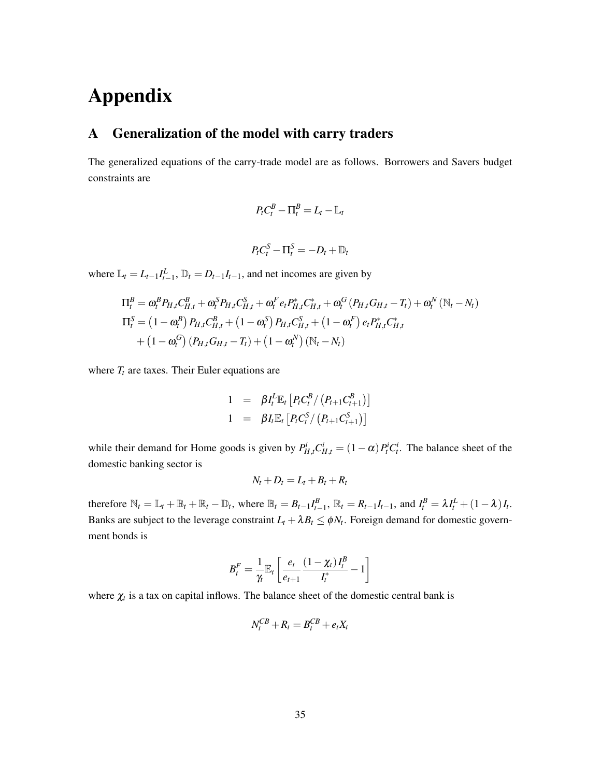# Appendix

# <span id="page-35-0"></span>A Generalization of the model with carry traders

The generalized equations of the carry-trade model are as follows. Borrowers and Savers budget constraints are

$$
P_t C_t^B - \Pi_t^B = L_t - \mathbb{L}_t
$$
  

$$
P_t C_t^S - \Pi_t^S = -D_t + \mathbb{D}_t
$$

where  $\mathbb{L}_t = L_{t-1}I_{t-1}^L$ ,  $\mathbb{D}_t = D_{t-1}I_{t-1}$ , and net incomes are given by

$$
\Pi_{t}^{B} = \omega_{t}^{B} P_{H,t} C_{H,t}^{B} + \omega_{t}^{S} P_{H,t} C_{H,t}^{S} + \omega_{t}^{F} e_{t} P_{H,t}^{*} C_{H,t}^{*} + \omega_{t}^{G} (P_{H,t} G_{H,t} - T_{t}) + \omega_{t}^{N} (\mathbb{N}_{t} - N_{t})
$$
\n
$$
\Pi_{t}^{S} = (1 - \omega_{t}^{B}) P_{H,t} C_{H,t}^{B} + (1 - \omega_{t}^{S}) P_{H,t} C_{H,t}^{S} + (1 - \omega_{t}^{F}) e_{t} P_{H,t}^{*} C_{H,t}^{*}
$$
\n
$$
+ (1 - \omega_{t}^{G}) (P_{H,t} G_{H,t} - T_{t}) + (1 - \omega_{t}^{N}) (\mathbb{N}_{t} - N_{t})
$$

where  $T_t$  are taxes. Their Euler equations are

1 = 
$$
\beta I_t^L \mathbb{E}_t [P_t C_t^B / (P_{t+1} C_{t+1}^B)]
$$
  
1 =  $\beta I_t \mathbb{E}_t [P_t C_t^S / (P_{t+1} C_{t+1}^S)]$ 

while their demand for Home goods is given by  $P_{H,t}^i C_{H,t}^i = (1 - \alpha) P_t^i C_t^i$ . The balance sheet of the domestic banking sector is

$$
N_t + D_t = L_t + B_t + R_t
$$

therefore  $\mathbb{N}_t = \mathbb{L}_t + \mathbb{B}_t + \mathbb{R}_t - \mathbb{D}_t$ , where  $\mathbb{B}_t = B_{t-1}I_{t-1}^B$ ,  $\mathbb{R}_t = R_{t-1}I_{t-1}$ , and  $I_t^B = \lambda I_t^L + (1 - \lambda)I_t$ . Banks are subject to the leverage constraint  $L_t + \lambda B_t \leq \phi N_t$ . Foreign demand for domestic government bonds is

$$
B_t^F = \frac{1}{\gamma_t} \mathbb{E}_t \left[ \frac{e_t}{e_{t+1}} \frac{(1 - \chi_t)I_t^B}{I_t^*} - 1 \right]
$$

where  $\chi_t$  is a tax on capital inflows. The balance sheet of the domestic central bank is

$$
N_t^{CB} + R_t = B_t^{CB} + e_t X_t
$$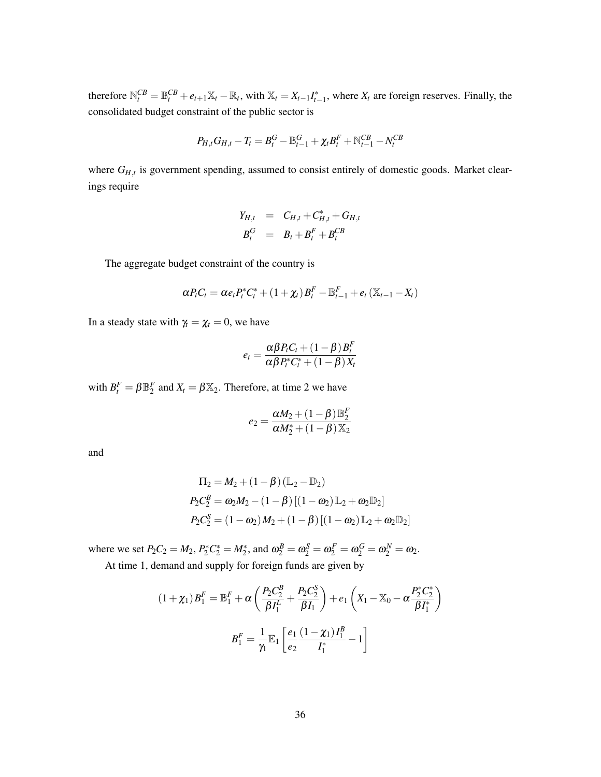therefore  $\mathbb{N}_{t}^{CB} = \mathbb{B}_{t}^{CB} + e_{t+1}\mathbb{X}_{t} - \mathbb{R}_{t}$ , with  $\mathbb{X}_{t} = X_{t-1}I_{t-1}^{*}$ , where  $X_{t}$  are foreign reserves. Finally, the consolidated budget constraint of the public sector is

$$
P_{H,t}G_{H,t} - T_t = B_t^G - \mathbb{B}_{t-1}^G + \chi_t B_t^F + \mathbb{N}_{t-1}^{CB} - N_t^{CB}
$$

where  $G_{H,t}$  is government spending, assumed to consist entirely of domestic goods. Market clearings require

$$
Y_{H,t} = C_{H,t} + C_{H,t}^* + G_{H,t}
$$
  

$$
B_t^G = B_t + B_t^F + B_t^{CB}
$$

The aggregate budget constraint of the country is

$$
\alpha P_t C_t = \alpha e_t P_t^* C_t^* + \left(1 + \chi_t\right) B_t^F - \mathbb{B}_{t-1}^F + e_t \left(\mathbb{X}_{t-1} - X_t\right)
$$

In a steady state with  $\gamma_t = \chi_t = 0$ , we have

$$
e_t = \frac{\alpha \beta P_t C_t + (1 - \beta) B_t^F}{\alpha \beta P_t^* C_t^* + (1 - \beta) X_t}
$$

with  $B_t^F = \beta \mathbb{B}_2^F$  and  $X_t = \beta \mathbb{X}_2$ . Therefore, at time 2 we have

$$
e_2 = \frac{\alpha M_2 + \left(1 - \beta\right) \mathbb{B}_2^F}{\alpha M_2^* + \left(1 - \beta\right) \mathbb{X}_2}
$$

and

$$
\Pi_2 = M_2 + (1 - \beta) (\mathbb{L}_2 - \mathbb{D}_2)
$$
  
\n
$$
P_2 C_2^B = \omega_2 M_2 - (1 - \beta) [(1 - \omega_2) \mathbb{L}_2 + \omega_2 \mathbb{D}_2]
$$
  
\n
$$
P_2 C_2^S = (1 - \omega_2) M_2 + (1 - \beta) [(1 - \omega_2) \mathbb{L}_2 + \omega_2 \mathbb{D}_2]
$$

where we set  $P_2C_2 = M_2$ ,  $P_2^*C_2^* = M_2^*$ , and  $\omega_2^B = \omega_2^S = \omega_2^F = \omega_2^G = \omega_2^N = \omega_2$ .

At time 1, demand and supply for foreign funds are given by

$$
(1 + \chi_1) B_1^F = \mathbb{B}_1^F + \alpha \left( \frac{P_2 C_2^B}{\beta I_1^L} + \frac{P_2 C_2^S}{\beta I_1} \right) + e_1 \left( X_1 - \mathbb{X}_0 - \alpha \frac{P_2^* C_2^*}{\beta I_1^*} \right)
$$

$$
B_1^F = \frac{1}{\gamma_1} \mathbb{E}_1 \left[ \frac{e_1}{e_2} \frac{(1 - \chi_1) I_1^B}{I_1^*} - 1 \right]
$$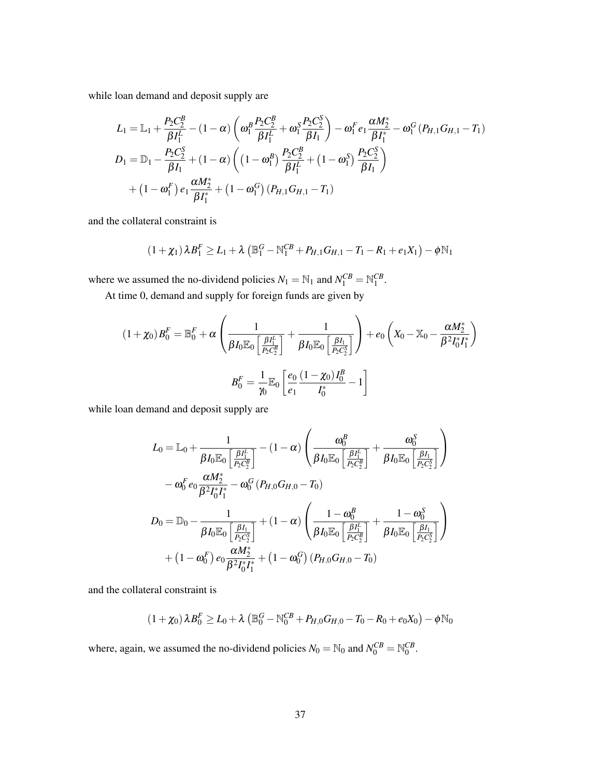while loan demand and deposit supply are

$$
L_{1} = \mathbb{L}_{1} + \frac{P_{2}C_{2}^{B}}{\beta I_{1}^{L}} - (1 - \alpha) \left( \omega_{1}^{B} \frac{P_{2}C_{2}^{B}}{\beta I_{1}^{L}} + \omega_{1}^{S} \frac{P_{2}C_{2}^{S}}{\beta I_{1}} \right) - \omega_{1}^{F} e_{1} \frac{\alpha M_{2}^{*}}{\beta I_{1}^{*}} - \omega_{1}^{G} (P_{H,1}G_{H,1} - T_{1})
$$
  
\n
$$
D_{1} = \mathbb{D}_{1} - \frac{P_{2}C_{2}^{S}}{\beta I_{1}} + (1 - \alpha) \left( (1 - \omega_{1}^{B}) \frac{P_{2}C_{2}^{B}}{\beta I_{1}^{L}} + (1 - \omega_{1}^{S}) \frac{P_{2}C_{2}^{S}}{\beta I_{1}} \right)
$$
  
\n
$$
+ (1 - \omega_{1}^{F}) e_{1} \frac{\alpha M_{2}^{*}}{\beta I_{1}^{*}} + (1 - \omega_{1}^{G}) (P_{H,1}G_{H,1} - T_{1})
$$

and the collateral constraint is

$$
(1+\chi_1)\lambda B_1^F \ge L_1 + \lambda \left( \mathbb{B}_1^G - \mathbb{N}_1^{CB} + P_{H,1}G_{H,1} - T_1 - R_1 + e_1X_1 \right) - \phi \mathbb{N}_1
$$

where we assumed the no-dividend policies  $N_1 = N_1$  and  $N_1^{CB} = N_1^{CB}$ .

At time 0, demand and supply for foreign funds are given by

$$
(1+\chi_0)B_0^F = \mathbb{B}_0^F + \alpha \left( \frac{1}{\beta I_0 \mathbb{E}_0 \left[ \frac{\beta I_1^L}{P_2 C_2^B} \right]} + \frac{1}{\beta I_0 \mathbb{E}_0 \left[ \frac{\beta I_1}{P_2 C_2^S} \right]} \right) + e_0 \left( X_0 - \mathbb{X}_0 - \frac{\alpha M_2^*}{\beta^2 I_0^* I_1^*} \right)
$$

$$
B_0^F = \frac{1}{\gamma_0} \mathbb{E}_0 \left[ \frac{e_0}{e_1} \frac{(1-\chi_0)I_0^B}{I_0^*} - 1 \right]
$$

while loan demand and deposit supply are

$$
L_0 = \mathbb{L}_0 + \frac{1}{\beta I_0 \mathbb{E}_0 \left[ \frac{\beta I_1^L}{P_2 C_2^B} \right]} - (1 - \alpha) \left( \frac{\omega_0^B}{\beta I_0 \mathbb{E}_0 \left[ \frac{\beta I_1^L}{P_2 C_2^B} \right]} + \frac{\omega_0^S}{\beta I_0 \mathbb{E}_0 \left[ \frac{\beta I_1}{P_2 C_2^S} \right]} \right) - \omega_0^F e_0 \frac{\alpha M_2^*}{\beta^2 I_0^* I_1^*} - \omega_0^G (P_{H,0} G_{H,0} - T_0) D_0 = \mathbb{D}_0 - \frac{1}{\beta I_0 \mathbb{E}_0 \left[ \frac{\beta I_1}{P_2 C_2^S} \right]} + (1 - \alpha) \left( \frac{1 - \omega_0^B}{\beta I_0 \mathbb{E}_0 \left[ \frac{\beta I_1^L}{P_2 C_2^S} \right]} + \frac{1 - \omega_0^S}{\beta I_0 \mathbb{E}_0 \left[ \frac{\beta I_1}{P_2 C_2^S} \right]} \right) + (1 - \omega_0^F) e_0 \frac{\alpha M_2^*}{\beta^2 I_0^* I_1^*} + (1 - \omega_0^G) (P_{H,0} G_{H,0} - T_0)
$$

and the collateral constraint is

$$
(1+\chi_0)\lambda B_0^F \ge L_0 + \lambda \left( \mathbb{B}_0^G - \mathbb{N}_0^{CB} + P_{H,0}G_{H,0} - T_0 - R_0 + e_0X_0 \right) - \phi \mathbb{N}_0
$$

where, again, we assumed the no-dividend policies  $N_0 = N_0$  and  $N_0^{CB} = N_0^{CB}$ .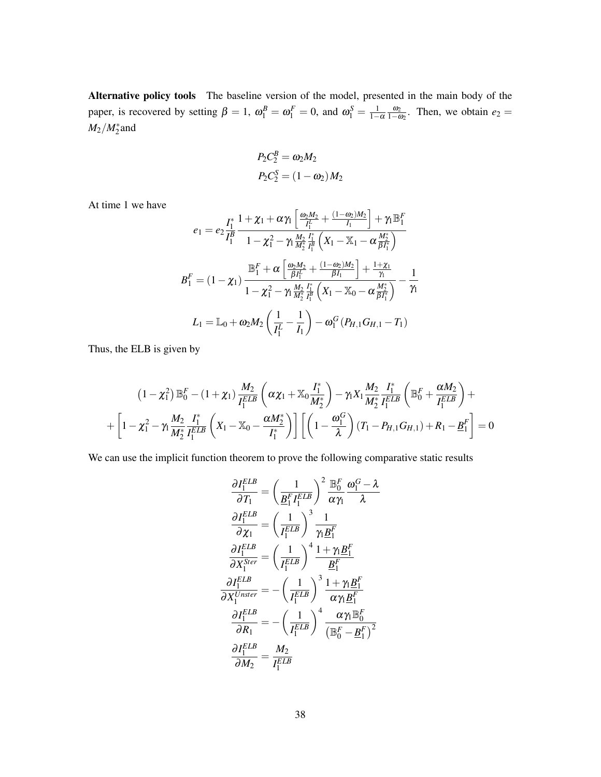Alternative policy tools The baseline version of the model, presented in the main body of the paper, is recovered by setting  $\beta = 1$ ,  $\omega_1^B = \omega_1^F = 0$ , and  $\omega_1^S = \frac{1}{1-\alpha} \frac{\omega_2}{1-\omega_2}$ . Then, we obtain  $e_2 =$  $M_2/M_2^*$  and

$$
P_2C_2^B = \omega_2 M_2
$$
  

$$
P_2C_2^S = (1 - \omega_2)M_2
$$

At time 1 we have

$$
e_{1} = e_{2} \frac{I_{1}^{*}}{I_{1}^{B}} \frac{1 + \chi_{1} + \alpha \gamma_{1} \left[ \frac{\omega_{2} M_{2}}{I_{1}^{L}} + \frac{(1 - \omega_{2}) M_{2}}{I_{1}} \right] + \gamma_{1} \mathbb{B}_{1}^{F}}{1 - \chi_{1}^{2} - \gamma_{1} \frac{M_{2}}{M_{2}^{*}} \frac{I_{1}^{*}}{I_{1}^{B}} \left( X_{1} - \mathbb{X}_{1} - \alpha \frac{M_{2}^{*}}{\beta I_{1}^{*}} \right)}
$$
\n
$$
B_{1}^{F} = (1 - \chi_{1}) \frac{\mathbb{B}_{1}^{F} + \alpha \left[ \frac{\omega_{2} M_{2}}{\beta I_{1}^{L}} + \frac{(1 - \omega_{2}) M_{2}}{\beta I_{1}} \right] + \frac{1 + \chi_{1}}{\gamma_{1}}}{1 - \chi_{1}^{2} - \gamma_{1} \frac{M_{2}}{M_{2}^{*}} \frac{I_{1}^{*}}{I_{1}^{B}} \left( X_{1} - \mathbb{X}_{0} - \alpha \frac{M_{2}^{*}}{\beta I_{1}^{*}} \right)} - \frac{1}{\gamma_{1}}
$$
\n
$$
L_{1} = \mathbb{L}_{0} + \omega_{2} M_{2} \left( \frac{1}{I_{1}^{L}} - \frac{1}{I_{1}} \right) - \omega_{1}^{G} \left( P_{H,1} G_{H,1} - T_{1} \right)
$$

Thus, the ELB is given by

$$
(1 - \chi_1^2) \mathbb{B}_0^F - (1 + \chi_1) \frac{M_2}{I_1^{ELB}} \left( \alpha \chi_1 + \mathbb{X}_0 \frac{I_1^*}{M_2^*} \right) - \gamma_1 X_1 \frac{M_2}{M_2^*} \frac{I_1^*}{I_1^{ELB}} \left( \mathbb{B}_0^F + \frac{\alpha M_2}{I_1^{ELB}} \right) + + \left[ 1 - \chi_1^2 - \gamma_1 \frac{M_2}{M_2^*} \frac{I_1^*}{I_1^{ELB}} \left( X_1 - \mathbb{X}_0 - \frac{\alpha M_2^*}{I_1^*} \right) \right] \left[ \left( 1 - \frac{\omega_1^G}{\lambda} \right) (T_1 - P_{H,1} G_{H,1}) + R_1 - \underline{B}_1^F \right] = 0
$$

We can use the implicit function theorem to prove the following comparative static results

$$
\frac{\partial I_1^{ELB}}{\partial T_1} = \left(\frac{1}{\underline{B}_1^F I_1^{ELB}}\right)^2 \frac{\mathbb{B}_0^F}{\alpha \gamma_1} \frac{\omega_1^G - \lambda}{\lambda}
$$
\n
$$
\frac{\partial I_1^{ELB}}{\partial \chi_1} = \left(\frac{1}{I_1^{ELB}}\right)^3 \frac{1}{\gamma_1 \underline{B}_1^F}
$$
\n
$$
\frac{\partial I_1^{ELB}}{\partial X_1^{Ster}} = \left(\frac{1}{I_1^{ELB}}\right)^4 \frac{1 + \gamma_1 \underline{B}_1^F}{\underline{B}_1^F}
$$
\n
$$
\frac{\partial I_1^{ELB}}{\partial X_1^{Unster}} = -\left(\frac{1}{I_1^{ELB}}\right)^3 \frac{1 + \gamma_1 \underline{B}_1^F}{\alpha \gamma_1 \underline{B}_1^F}
$$
\n
$$
\frac{\partial I_1^{ELB}}{\partial R_1} = -\left(\frac{1}{I_1^{ELB}}\right)^4 \frac{\alpha \gamma_1 \mathbb{B}_0^F}{(\mathbb{B}_0^F - \underline{B}_1^F)^2}
$$
\n
$$
\frac{\partial I_1^{ELB}}{\partial M_2} = \frac{M_2}{I_1^{ELB}}
$$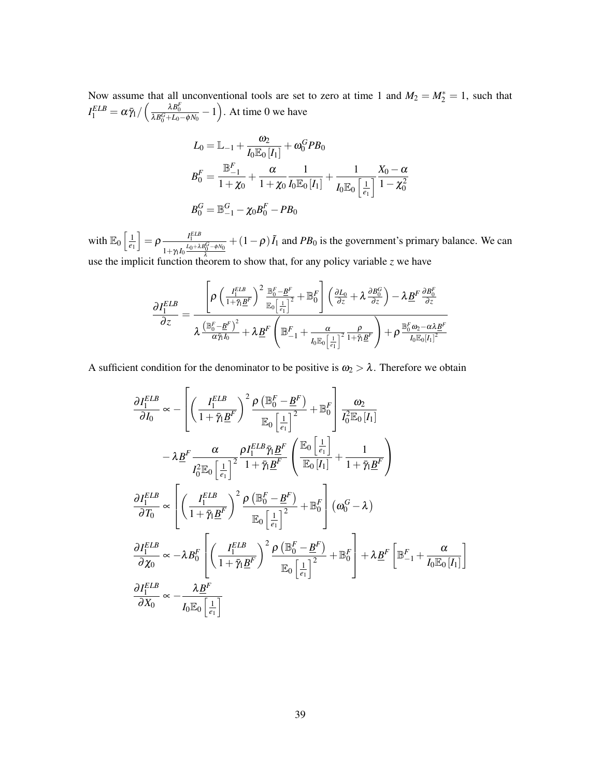Now assume that all unconventional tools are set to zero at time 1 and  $M_2 = M_2^* = 1$ , such that  $I_1^{ELB} = \alpha \bar{\gamma}_1 / \left( \frac{\lambda B_0^F}{\lambda B_0^G + L_0 - \phi N_0} - 1 \right)$ . At time 0 we have

$$
L_0 = \mathbb{L}_{-1} + \frac{\omega_2}{I_0 \mathbb{E}_0[I_1]} + \omega_0^G P B_0
$$
  
\n
$$
B_0^F = \frac{\mathbb{B}_{-1}^F}{1 + \chi_0} + \frac{\alpha}{1 + \chi_0} \frac{1}{I_0 \mathbb{E}_0[I_1]} + \frac{1}{I_0 \mathbb{E}_0\left[\frac{1}{e_1}\right]} \frac{X_0 - \alpha}{1 - \chi_0^2}
$$
  
\n
$$
B_0^G = \mathbb{B}_{-1}^G - \chi_0 B_0^F - PB_0
$$

with  $\mathbb{E}_0 \left[ \frac{1}{e_1} \right]$  $\big] = \rho \frac{I_1^{ELB}}{I_0 + \lambda}$  $\frac{I_1^{ELA}}{1+\gamma_1I_0\frac{L_0+\lambda B_0^C-\phi N_0}{\lambda}} + (1-\rho)\tilde{I}_1$  and *PB*<sub>0</sub> is the government's primary balance. We can use the implicit function theorem to show that, for any policy variable *z* we have

$$
\frac{{\partial I_1^{ELB}}}{{\partial z}} = \frac{{\left[ {\rho \left( {\frac{{I_1^{ELB}}}{{1 + {\tilde \gamma _1 }{B^F}}}} \right)^2 {\frac{{\mathbb{B}_0^F - {\underline{B}^F}}}{{\mathbb{E}_0\left[ {\frac{1}{{e_1 }}} \right]^2}}} + {\mathbb{B}_0^F} } \right]\left( {\frac{{\partial L_0}}{{\partial z}} + \lambda\frac{{\partial B_0^G}}{{\partial z}}} \right) - \lambda \underline{B}^F\frac{{\partial B_0^F}}{{\partial z}}}{{\partial z}}}}{{\lambda\frac{{\left( {\mathbb{B}_0^F - {\underline{B}^F}} \right)^2}}}{{\alpha \bar \gamma _1 I_0}}} + \lambda \underline{B}^F\left( {\mathbb{B}_{ - 1}^F + \frac{\alpha }{{I_0\mathbb{E}_0\left[ {\frac{1}{{e_1 }}} \right]^2}} \frac{\rho }{{1 + {\tilde \gamma _1 }{B^F}}}} \right) + \rho \frac{{\mathbb{B}_0^F}\omega_2 - \alpha \lambda \underline{B}^F}}{{I_0\mathbb{E}_0\left[ {I_1} \right]^2}}}
$$

A sufficient condition for the denominator to be positive is  $\omega_2 > \lambda$ . Therefore we obtain

$$
\frac{\partial I_1^{ELB}}{\partial I_0} \propto -\left[ \left( \frac{I_1^{ELB}}{1 + \bar{\gamma}_1 \underline{B}^F} \right)^2 \frac{\rho \left( \mathbb{B}_0^F - \underline{B}^F \right)}{\mathbb{E}_0 \left[ \frac{1}{e_1} \right]^2} + \mathbb{B}_0^F \right] \frac{\omega_2}{I_0^2 \mathbb{E}_0 [I_1]}
$$
  
\n
$$
- \lambda \underline{B}^F \frac{\alpha}{I_0^2 \mathbb{E}_0 \left[ \frac{1}{e_1} \right]^2} \frac{\rho I_1^{ELB} \bar{\gamma}_1 \underline{B}^F}{1 + \bar{\gamma}_1 \underline{B}^F} \left( \frac{\mathbb{E}_0 \left[ \frac{1}{e_1} \right]}{\mathbb{E}_0 [I_1]} + \frac{1}{1 + \bar{\gamma}_1 \underline{B}^F} \right)
$$
  
\n
$$
\frac{\partial I_1^{ELB}}{\partial T_0} \propto \left[ \left( \frac{I_1^{ELB}}{1 + \bar{\gamma}_1 \underline{B}^F} \right)^2 \frac{\rho \left( \mathbb{B}_0^F - \underline{B}^F \right)}{\mathbb{E}_0 \left[ \frac{1}{e_1} \right]^2} + \mathbb{B}_0^F \right] (\omega_0^G - \lambda)
$$
  
\n
$$
\frac{\partial I_1^{ELB}}{\partial \chi_0} \propto -\lambda B_0^F \left[ \left( \frac{I_1^{ELB}}{1 + \bar{\gamma}_1 \underline{B}^F} \right)^2 \frac{\rho \left( \mathbb{B}_0^F - \underline{B}^F \right)}{\mathbb{E}_0 \left[ \frac{1}{e_1} \right]^2} + \mathbb{B}_0^F \right] + \lambda \underline{B}^F \left[ \mathbb{B}_{-1}^F + \frac{\alpha}{I_0 \mathbb{E}_0 [I_1]} \right]
$$
  
\n
$$
\frac{\partial I_1^{ELB}}{\partial \chi_0} \propto -\frac{\lambda \underline{B}^F}{I_0 \mathbb{E}_0 \left[ \frac{1}{e_1} \right]}
$$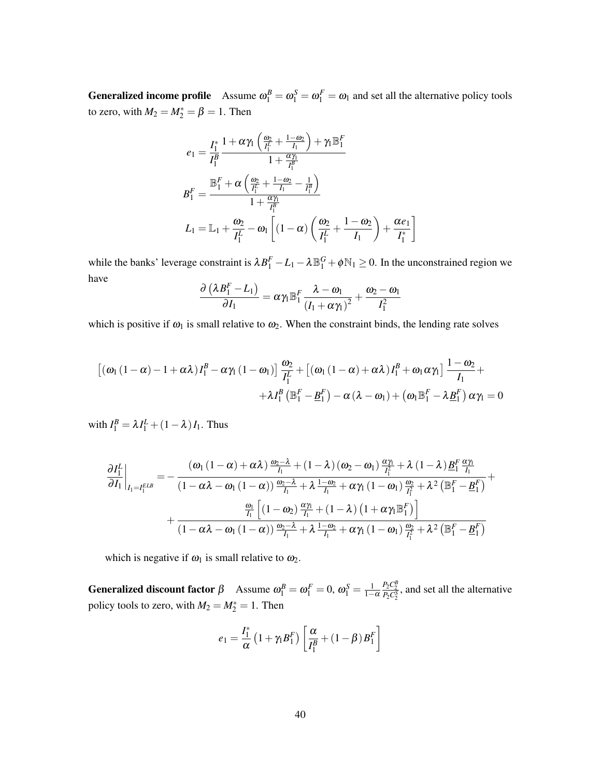**Generalized income profile** Assume  $\omega_1^B = \omega_1^S = \omega_1^F = \omega_1$  and set all the alternative policy tools to zero, with  $M_2 = M_2^* = \beta = 1$ . Then

$$
e_1 = \frac{I_1^*}{I_1^B} \frac{1 + \alpha \gamma_1 \left(\frac{\omega_2}{I_1^L} + \frac{1 - \omega_2}{I_1}\right) + \gamma_1 \mathbb{B}_1^F}{1 + \frac{\alpha \gamma_1}{I_1^B}}
$$
  

$$
B_1^F = \frac{\mathbb{B}_1^F + \alpha \left(\frac{\omega_2}{I_1^L} + \frac{1 - \omega_2}{I_1} - \frac{1}{I_1^B}\right)}{1 + \frac{\alpha \gamma_1}{I_1^B}}
$$
  

$$
L_1 = \mathbb{L}_1 + \frac{\omega_2}{I_1^L} - \omega_1 \left[ (1 - \alpha) \left(\frac{\omega_2}{I_1^L} + \frac{1 - \omega_2}{I_1}\right) + \frac{\alpha e_1}{I_1^*} \right]
$$

while the banks' leverage constraint is  $\lambda B_1^F - L_1 - \lambda \mathbb{B}_1^G + \phi \mathbb{N}_1 \ge 0$ . In the unconstrained region we have

$$
\frac{\partial \left(\lambda \boldsymbol{B}_1^{F}-L_1 \right)}{\partial \boldsymbol{I}_1} = \alpha \gamma_1 \mathbb{B}_1^{F} \frac{\lambda - \omega_1}{\left(\boldsymbol{I}_1 + \alpha \gamma_1 \right)^2} + \frac{\omega_2 - \omega_1}{I_1^2}
$$

which is positive if  $\omega_1$  is small relative to  $\omega_2$ . When the constraint binds, the lending rate solves

$$
\begin{aligned} \left[ \left( \omega_{1} \left( 1 - \alpha \right) - 1 + \alpha \lambda \right) I_{1}^{B} - \alpha \gamma_{1} \left( 1 - \omega_{1} \right) \right] \frac{\omega_{2}}{I_{1}^{L}} + \left[ \left( \omega_{1} \left( 1 - \alpha \right) + \alpha \lambda \right) I_{1}^{B} + \omega_{1} \alpha \gamma_{1} \right] \frac{1 - \omega_{2}}{I_{1}} + \\ + \lambda I_{1}^{B} \left( \mathbb{B}_{1}^{F} - \underline{B}_{1}^{F} \right) - \alpha \left( \lambda - \omega_{1} \right) + \left( \omega_{1} \mathbb{B}_{1}^{F} - \lambda \underline{B}_{1}^{F} \right) \alpha \gamma_{1} = 0 \end{aligned}
$$

with  $I_1^B = \lambda I_1^L + (1 - \lambda) I_1$ . Thus

$$
\frac{\partial I_{1}^{L}}{\partial I_{1}}\bigg|_{I_{1}=I_{1}^{ELB}} = -\frac{\left(\omega_{1}\left(1-\alpha\right)+\alpha\lambda\right)\frac{\omega_{2}-\lambda}{I_{1}}+\left(1-\lambda\right)\left(\omega_{2}-\omega_{1}\right)\frac{\alpha\gamma_{1}}{I_{1}^{2}}+\lambda\left(1-\lambda\right)\underline{B}_{1}^{F}\frac{\alpha\gamma_{1}}{I_{1}}}{\left(1-\alpha\lambda-\omega_{1}\left(1-\alpha\right)\right)\frac{\omega_{2}-\lambda}{I_{1}}+\lambda\frac{1-\omega_{2}}{I_{1}}+\alpha\gamma_{1}\left(1-\omega_{1}\right)\frac{\omega_{2}}{I_{1}^{2}}+\lambda^{2}\left(\mathbb{B}_{1}^{F}-\underline{B}_{1}^{F}\right)}+\frac{\frac{\omega_{1}}{I_{1}}\left[\left(1-\omega_{2}\right)\frac{\alpha\gamma_{1}}{I_{1}}+\left(1-\lambda\right)\left(1+\alpha\gamma_{1}\mathbb{B}_{1}^{F}\right)\right]}{\left(1-\alpha\lambda-\omega_{1}\left(1-\alpha\right)\right)\frac{\omega_{2}-\lambda}{I_{1}}+\lambda\frac{1-\omega_{2}}{I_{1}}+\alpha\gamma_{1}\left(1-\omega_{1}\right)\frac{\omega_{2}}{I_{1}^{2}}+\lambda^{2}\left(\mathbb{B}_{1}^{F}-\underline{B}_{1}^{F}\right)}
$$

which is negative if  $\omega_1$  is small relative to  $\omega_2$ .

**Generalized discount factor**  $\beta$  Assume  $\omega_1^B = \omega_1^F = 0$ ,  $\omega_1^S = \frac{1}{1-\alpha}$  $\frac{P_2 C_2^B}{P_2 C_2^S}$ , and set all the alternative policy tools to zero, with  $M_2 = M_2^* = 1$ . Then

$$
e_1 = \frac{I_1^*}{\alpha} \left( 1 + \gamma_1 B_1^F \right) \left[ \frac{\alpha}{I_1^B} + \left( 1 - \beta \right) B_1^F \right]
$$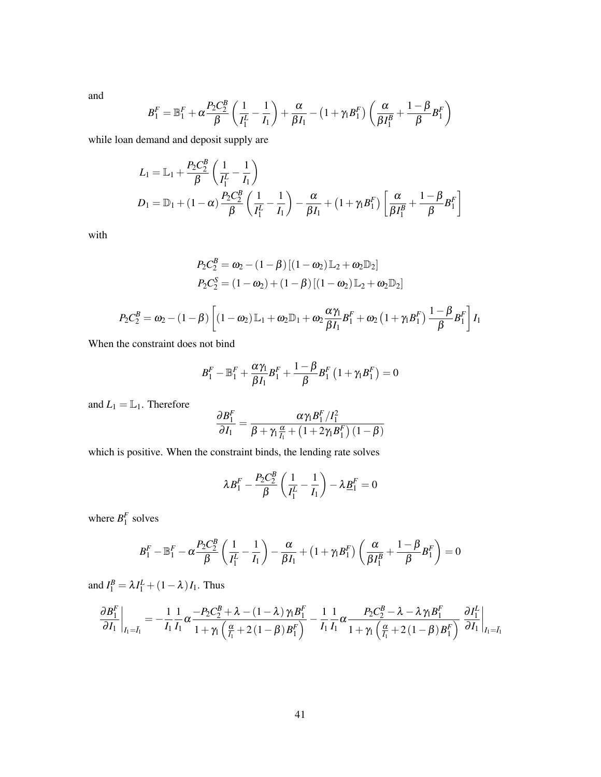and

$$
B_1^F = \mathbb{B}_1^F + \alpha \frac{P_2 C_2^B}{\beta} \left( \frac{1}{I_1^L} - \frac{1}{I_1} \right) + \frac{\alpha}{\beta I_1} - \left( 1 + \gamma_1 B_1^F \right) \left( \frac{\alpha}{\beta I_1^B} + \frac{1 - \beta}{\beta} B_1^F \right)
$$

while loan demand and deposit supply are

$$
L_1 = \mathbb{L}_1 + \frac{P_2 C_2^B}{\beta} \left( \frac{1}{I_1^L} - \frac{1}{I_1} \right)
$$
  
\n
$$
D_1 = \mathbb{D}_1 + (1 - \alpha) \frac{P_2 C_2^B}{\beta} \left( \frac{1}{I_1^L} - \frac{1}{I_1} \right) - \frac{\alpha}{\beta I_1} + (1 + \gamma_1 B_1^F) \left[ \frac{\alpha}{\beta I_1^B} + \frac{1 - \beta}{\beta} B_1^F \right]
$$

with

$$
P_2 C_2^B = \omega_2 - (1 - \beta) \left[ (1 - \omega_2) \mathbb{L}_2 + \omega_2 \mathbb{D}_2 \right]
$$
  
\n
$$
P_2 C_2^S = (1 - \omega_2) + (1 - \beta) \left[ (1 - \omega_2) \mathbb{L}_2 + \omega_2 \mathbb{D}_2 \right]
$$
  
\n
$$
P_2 C_2^B = \omega_2 - (1 - \beta) \left[ (1 - \omega_2) \mathbb{L}_1 + \omega_2 \mathbb{D}_1 + \omega_2 \frac{\alpha \gamma_1}{\beta I_1} B_1^F + \omega_2 \left( 1 + \gamma_1 B_1^F \right) \frac{1 - \beta}{\beta} B_1^F \right] I_1
$$

When the constraint does not bind

$$
B_1^F-\mathbb{B}_1^F+\frac{\alpha\gamma_1}{\beta I_1}B_1^F+\frac{1-\beta}{\beta}B_1^F\left(1+\gamma_1B_1^F\right)=0
$$

and  $L_1 = \mathbb{L}_1$ . Therefore

$$
\frac{\partial B_1^F}{\partial I_1} = \frac{\alpha \gamma_1 B_1^F / I_1^2}{\beta + \gamma_1 \frac{\alpha}{I_1} + \left(1 + 2 \gamma_1 B_1^F\right) \left(1 - \beta\right)}
$$

which is positive. When the constraint binds, the lending rate solves

$$
\lambda B_1^F - \frac{P_2 C_2^B}{\beta} \left( \frac{1}{I_1^L} - \frac{1}{I_1} \right) - \lambda \underline{B}_1^F = 0
$$

where  $B_1^F$  solves

$$
B_1^F - \mathbb{B}_1^F - \alpha \frac{P_2 C_2^B}{\beta} \left( \frac{1}{I_1^L} - \frac{1}{I_1} \right) - \frac{\alpha}{\beta I_1} + \left( 1 + \gamma_1 B_1^F \right) \left( \frac{\alpha}{\beta I_1^B} + \frac{1 - \beta}{\beta} B_1^F \right) = 0
$$

and  $I_1^B = \lambda I_1^L + (1 - \lambda) I_1$ . Thus

$$
\frac{\partial B_1^F}{\partial I_1}\bigg|_{I_1=\bar{I}_1} = -\frac{1}{I_1}\frac{1}{I_1}\alpha \frac{-P_2C_2^B + \lambda - (1-\lambda)\gamma_1B_1^F}{1+\gamma_1\left(\frac{\alpha}{I_1}+2(1-\beta)B_1^F\right)} - \frac{1}{I_1}\frac{1}{I_1}\alpha \frac{P_2C_2^B - \lambda - \lambda\gamma_1B_1^F}{1+\gamma_1\left(\frac{\alpha}{I_1}+2(1-\beta)B_1^F\right)}\frac{\partial I_1^L}{\partial I_1}\bigg|_{I_1=\bar{I}_1}
$$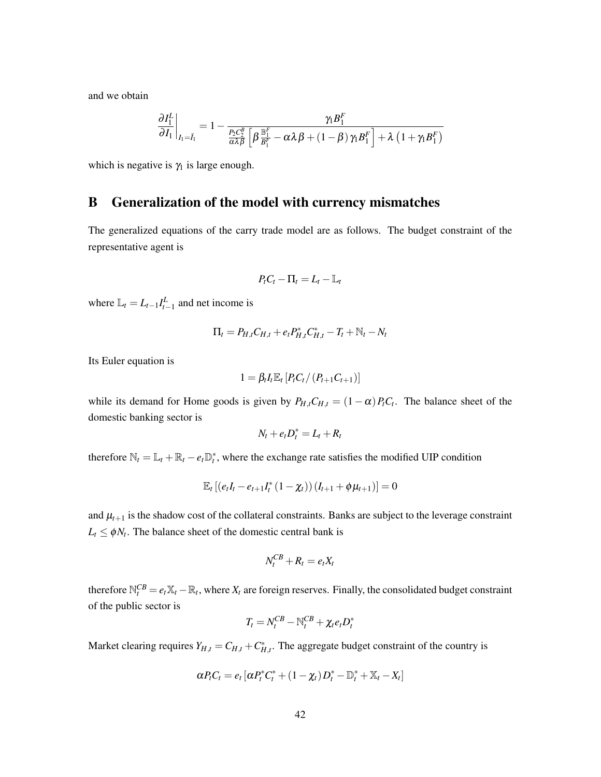and we obtain

$$
\frac{\partial I_1^L}{\partial I_1}\bigg|_{I_1=\bar{I}_1}=1-\frac{\gamma_1B_1^F}{\frac{P_2C_2^B}{\alpha\lambda\beta}\left[\beta\frac{\mathbb{B}_1^F}{B_1^F}-\alpha\lambda\beta+\left(1-\beta\right)\gamma_1B_1^F\right]+\lambda\left(1+\gamma_1B_1^F\right)}
$$

which is negative is  $\gamma_1$  is large enough.

# <span id="page-42-0"></span>B Generalization of the model with currency mismatches

The generalized equations of the carry trade model are as follows. The budget constraint of the representative agent is

$$
P_t C_t - \Pi_t = L_t - \mathbb{L}_t
$$

where  $\mathbb{L}_t = L_{t-1} I_{t-1}^L$  and net income is

$$
\Pi_t = P_{H,t} C_{H,t} + e_t P_{H,t}^* C_{H,t}^* - T_t + N_t - N_t
$$

Its Euler equation is

$$
1 = \beta_t I_t \mathbb{E}_t [P_t C_t / (P_{t+1} C_{t+1})]
$$

while its demand for Home goods is given by  $P_{H,t}C_{H,t} = (1 - \alpha)P_tC_t$ . The balance sheet of the domestic banking sector is

$$
N_t + e_t D_t^* = L_t + R_t
$$

therefore  $\mathbb{N}_t = \mathbb{L}_t + \mathbb{R}_t - e_t \mathbb{D}_t^*$ , where the exchange rate satisfies the modified UIP condition

$$
\mathbb{E}_{t}\left[\left(e_{t}I_{t}-e_{t+1}I_{t}^{*}\left(1-\chi_{t}\right)\right)\left(I_{t+1}+\phi\mu_{t+1}\right)\right]=0
$$

and  $\mu_{t+1}$  is the shadow cost of the collateral constraints. Banks are subject to the leverage constraint  $L_t \leq \phi N_t$ . The balance sheet of the domestic central bank is

$$
N_t^{CB}+R_t=e_tX_t
$$

therefore  $\mathbb{N}_t^{CB} = e_t \mathbb{X}_t - \mathbb{R}_t$ , where  $X_t$  are foreign reserves. Finally, the consolidated budget constraint of the public sector is

$$
T_t = N_t^{CB} - \mathbb{N}_t^{CB} + \chi_t e_t D_t^*
$$

Market clearing requires  $Y_{H,t} = C_{H,t} + C_{H,t}^*$ . The aggregate budget constraint of the country is

$$
\alpha P_t C_t = e_t \left[ \alpha P_t^* C_t^* + (1 - \chi_t) D_t^* - \mathbb{D}_t^* + \mathbb{X}_t - X_t \right]
$$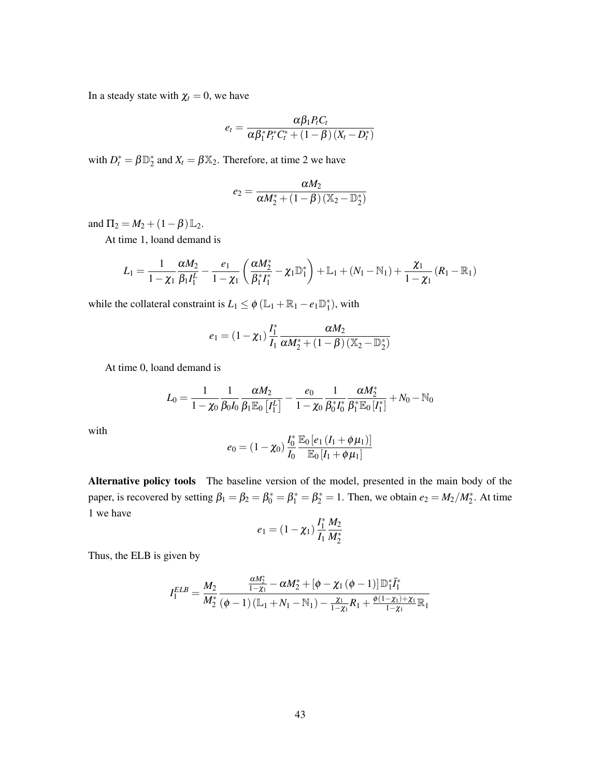In a steady state with  $\chi_t = 0$ , we have

$$
e_t = \frac{\alpha \beta_1 P_t C_t}{\alpha \beta_1^* P_t^* C_t^* + (1 - \beta) (X_t - D_t^*)}
$$

with  $D_t^* = \beta \mathbb{D}_2^*$  and  $X_t = \beta \mathbb{X}_2$ . Therefore, at time 2 we have

$$
e_2 = \frac{\alpha M_2}{\alpha M_2^* + \left(1 - \beta\right)(\mathbb{X}_2 - \mathbb{D}_2^*)}
$$

and  $\Pi_2 = M_2 + (1 - \beta) \mathbb{L}_2$ .

At time 1, loand demand is

$$
L_1 = \frac{1}{1 - \chi_1} \frac{\alpha M_2}{\beta_1 I_1^L} - \frac{e_1}{1 - \chi_1} \left( \frac{\alpha M_2^*}{\beta_1^* I_1^*} - \chi_1 \mathbb{D}_1^* \right) + \mathbb{L}_1 + (N_1 - \mathbb{N}_1) + \frac{\chi_1}{1 - \chi_1} (R_1 - \mathbb{R}_1)
$$

while the collateral constraint is  $L_1 \leq \phi \left( \mathbb{L}_1 + \mathbb{R}_1 - e_1 \mathbb{D}_1^* \right)$ , with

$$
e_1 = (1 - \chi_1) \frac{I_1^*}{I_1} \frac{\alpha M_2}{\alpha M_2^* + (1 - \beta) (\mathbb{X}_2 - \mathbb{D}_2^*)}
$$

At time 0, loand demand is

$$
L_0 = \frac{1}{1 - \chi_0} \frac{1}{\beta_0 I_0} \frac{\alpha M_2}{\beta_1 \mathbb{E}_0\left[I_1^L\right]} - \frac{e_0}{1 - \chi_0} \frac{1}{\beta_0^* I_0^*} \frac{\alpha M_2^*}{\beta_1^* \mathbb{E}_0\left[I_1^* \right]} + N_0 - \mathbb{N}_0
$$

with

$$
e_0 = (1 - \chi_0) \frac{I_0^*}{I_0} \frac{\mathbb{E}_0 [e_1 (I_1 + \phi \mu_1)]}{\mathbb{E}_0 [I_1 + \phi \mu_1]}
$$

Alternative policy tools The baseline version of the model, presented in the main body of the paper, is recovered by setting  $\beta_1 = \beta_2 = \beta_0^* = \beta_1^* = \beta_2^* = 1$ . Then, we obtain  $e_2 = M_2/M_2^*$ . At time 1 we have

$$
e_1 = (1 - \chi_1) \frac{I_1^*}{I_1} \frac{M_2}{M_2^*}
$$

Thus, the ELB is given by

$$
I_1^{ELB}=\frac{M_2}{M_2^*}\frac{\frac{\alpha M_2^*}{1-\chi_1}-\alpha M_2^*+\left[\phi-\chi_1\left(\phi-1\right)\right]\mathbb{D}_1^* \bar{I}_1^*}{\left(\phi-1\right)\left(\mathbb{L}_1+N_1-\mathbb{N}_1\right)-\frac{\chi_1}{1-\chi_1}R_1+\frac{\phi(1-\chi_1)+\chi_1}{1-\chi_1}\mathbb{R}_1}
$$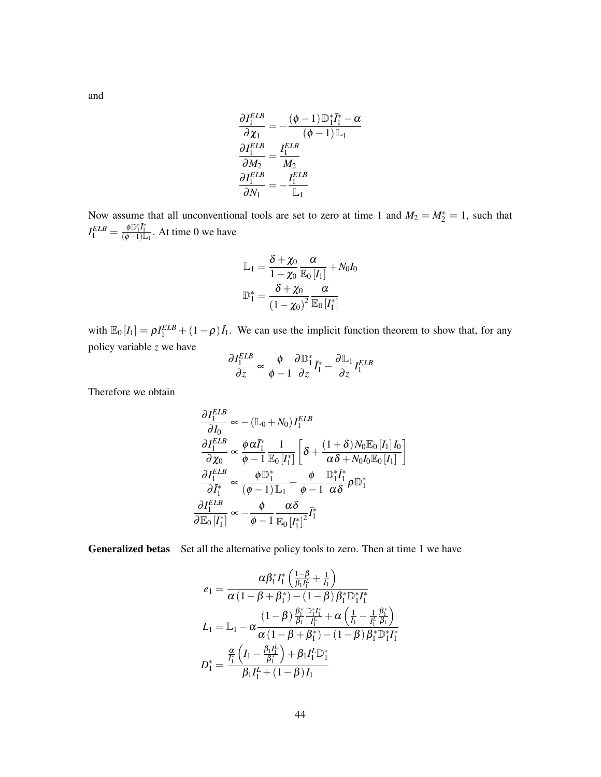and

$$
\frac{\partial I_1^{ELB}}{\partial \chi_1} = -\frac{(\phi - 1) \mathbb{D}_1^* \bar{I}_1^* - \alpha}{(\phi - 1) \mathbb{L}_1}
$$

$$
\frac{\partial I_1^{ELB}}{\partial M_2} = \frac{I_1^{ELB}}{M_2}
$$

$$
\frac{\partial I_1^{ELB}}{\partial N_1} = -\frac{I_1^{ELB}}{\mathbb{L}_1}
$$

Now assume that all unconventional tools are set to zero at time 1 and  $M_2 = M_2^* = 1$ , such that  $I_1^{ELB} = \frac{\phi \mathbb{D}_1^* \bar{I}_1^*}{(\phi - 1)\mathbb{L}_1}$ . At time 0 we have

$$
\mathbb{L}_1 = \frac{\delta + \chi_0}{1 - \chi_0} \frac{\alpha}{\mathbb{E}_0\left[I_1\right]} + N_0 I_0
$$

$$
\mathbb{D}_1^* = \frac{\delta + \chi_0}{\left(1 - \chi_0\right)^2} \frac{\alpha}{\mathbb{E}_0\left[I_1^*\right]}
$$

with  $\mathbb{E}_0[I_1] = \rho I_1^{ELB} + (1-\rho)\tilde{I}_1$ . We can use the implicit function theorem to show that, for any policy variable *z* we have

$$
\frac{\partial I_1^{ELB}}{\partial z} \propto \frac{\phi}{\phi - 1} \frac{\partial \mathbb{D}_1^*}{\partial z} \bar{I}_1^* - \frac{\partial \mathbb{L}_1}{\partial z} I_1^{ELB}
$$

Therefore we obtain

$$
\frac{\partial I_1^{ELB}}{\partial I_0} \propto -(\mathbb{L}_0 + N_0) I_1^{ELB}
$$
\n
$$
\frac{\partial I_1^{ELB}}{\partial \chi_0} \propto \frac{\phi \alpha \bar{I}_1^*}{\phi - 1} \frac{1}{\mathbb{E}_0 [I_1^*]} \left[ \delta + \frac{(1 + \delta) N_0 \mathbb{E}_0 [I_1] I_0}{\alpha \delta + N_0 I_0 \mathbb{E}_0 [I_1]} \right]
$$
\n
$$
\frac{\partial I_1^{ELB}}{\partial \bar{I}_1^*} \propto \frac{\phi \mathbb{D}_1^*}{(\phi - 1) \mathbb{L}_1} - \frac{\phi}{\phi - 1} \frac{\mathbb{D}_1^* \bar{I}_1^*}{\alpha \delta} \rho \mathbb{D}_1^*
$$
\n
$$
\frac{\partial I_1^{ELB}}{\partial \mathbb{E}_0 [I_1^*]} \propto -\frac{\phi}{\phi - 1} \frac{\alpha \delta}{\mathbb{E}_0 [I_1^*]^2} \bar{I}_1^*
$$

Generalized betas Set all the alternative policy tools to zero. Then at time 1 we have

$$
e_{1} = \frac{\alpha \beta_{1}^{*} I_{1}^{*} \left( \frac{1-\beta}{\beta_{1} I_{1}^{\prime}} + \frac{1}{I_{1}} \right)}{\alpha \left( 1 - \beta + \beta_{1}^{*} \right) - \left( 1 - \beta \right) \beta_{1}^{*} \mathbb{D}_{1}^{*} I_{1}^{*}}
$$
\n
$$
L_{1} = \mathbb{L}_{1} - \alpha \frac{\left( 1 - \beta \right) \frac{\beta_{1}^{*}}{\beta_{1}} \frac{\mathbb{D}_{1}^{*} I_{1}^{*}}{I_{1}^{\prime}} + \alpha \left( \frac{1}{I_{1}} - \frac{1}{I_{1}^{\prime}} \frac{\beta_{1}^{*}}{\beta_{1}} \right)}{\alpha \left( 1 - \beta + \beta_{1}^{*} \right) - \left( 1 - \beta \right) \beta_{1}^{*} \mathbb{D}_{1}^{*} I_{1}^{*}}
$$
\n
$$
D_{1}^{*} = \frac{\frac{\alpha}{I_{1}^{*}} \left( I_{1} - \frac{\beta_{1} I_{1}^{\prime}}{\beta_{1}^{*}} \right) + \beta_{1} I_{1}^{\prime} \mathbb{D}_{1}^{*}}{\beta_{1} I_{1}^{\prime} + \left( 1 - \beta \right) I_{1}}
$$